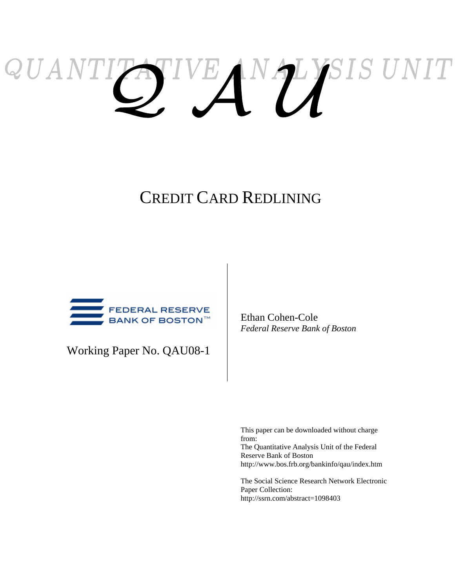# ATIVE AN PLYSIS UNIT QUANTI

# CREDIT CARD REDLINING



Working Paper No. QAU08-1

Ethan Cohen-Cole *Federal Reserve Bank of Boston* 

This paper can be downloaded without charge from: The Quantitative Analysis Unit of the Federal Reserve Bank of Boston http://www.bos.frb.org/bankinfo/qau/index.htm

The Social Science Research Network Electronic Paper Collection: http://ssrn.com/abstract=1098403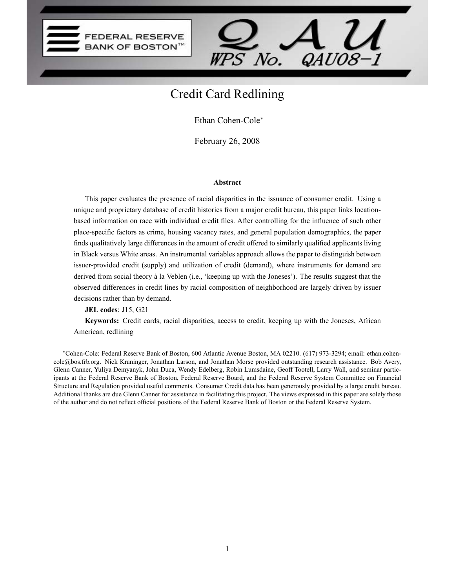



# Credit Card Redlining

Ethan Cohen-Cole

February 26, 2008

#### Abstract

This paper evaluates the presence of racial disparities in the issuance of consumer credit. Using a unique and proprietary database of credit histories from a major credit bureau, this paper links locationbased information on race with individual credit files. After controlling for the influence of such other place-specific factors as crime, housing vacancy rates, and general population demographics, the paper finds qualitatively large differences in the amount of credit offered to similarly qualified applicants living in Black versus White areas. An instrumental variables approach allows the paper to distinguish between issuer-provided credit (supply) and utilization of credit (demand), where instruments for demand are derived from social theory à la Veblen (i.e., 'keeping up with the Joneses'). The results suggest that the observed differences in credit lines by racial composition of neighborhood are largely driven by issuer decisions rather than by demand.

JEL codes: J15, G21

Keywords: Credit cards, racial disparities, access to credit, keeping up with the Joneses, African American, redlining

Cohen-Cole: Federal Reserve Bank of Boston, 600 Atlantic Avenue Boston, MA 02210. (617) 973-3294; email: ethan.cohencole@bos.frb.org. Nick Kraninger, Jonathan Larson, and Jonathan Morse provided outstanding research assistance. Bob Avery, Glenn Canner, Yuliya Demyanyk, John Duca, Wendy Edelberg, Robin Lumsdaine, Geoff Tootell, Larry Wall, and seminar participants at the Federal Reserve Bank of Boston, Federal Reserve Board, and the Federal Reserve System Committee on Financial Structure and Regulation provided useful comments. Consumer Credit data has been generously provided by a large credit bureau. Additional thanks are due Glenn Canner for assistance in facilitating this project. The views expressed in this paper are solely those of the author and do not reflect official positions of the Federal Reserve Bank of Boston or the Federal Reserve System.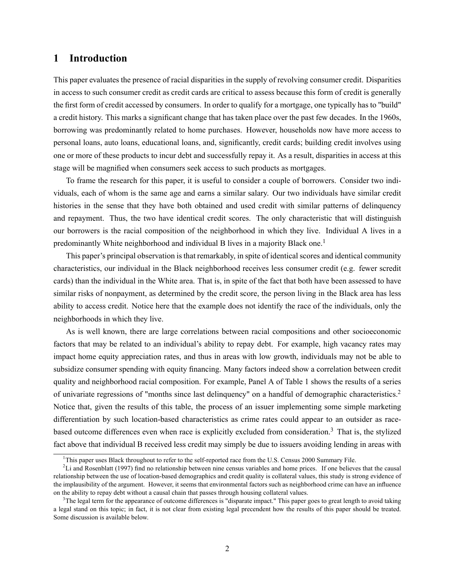# 1 Introduction

This paper evaluates the presence of racial disparities in the supply of revolving consumer credit. Disparities in access to such consumer credit as credit cards are critical to assess because this form of credit is generally the first form of credit accessed by consumers. In order to qualify for a mortgage, one typically has to "build" a credit history. This marks a significant change that has taken place over the past few decades. In the 1960s, borrowing was predominantly related to home purchases. However, households now have more access to personal loans, auto loans, educational loans, and, significantly, credit cards; building credit involves using one or more of these products to incur debt and successfully repay it. As a result, disparities in access at this stage will be magnified when consumers seek access to such products as mortgages.

To frame the research for this paper, it is useful to consider a couple of borrowers. Consider two individuals, each of whom is the same age and earns a similar salary. Our two individuals have similar credit histories in the sense that they have both obtained and used credit with similar patterns of delinquency and repayment. Thus, the two have identical credit scores. The only characteristic that will distinguish our borrowers is the racial composition of the neighborhood in which they live. Individual A lives in a predominantly White neighborhood and individual B lives in a majority Black one.<sup>1</sup>

This paper's principal observation is that remarkably, in spite of identical scores and identical community characteristics, our individual in the Black neighborhood receives less consumer credit (e.g. fewer scredit cards) than the individual in the White area. That is, in spite of the fact that both have been assessed to have similar risks of nonpayment, as determined by the credit score, the person living in the Black area has less ability to access credit. Notice here that the example does not identify the race of the individuals, only the neighborhoods in which they live.

As is well known, there are large correlations between racial compositions and other socioeconomic factors that may be related to an individual's ability to repay debt. For example, high vacancy rates may impact home equity appreciation rates, and thus in areas with low growth, individuals may not be able to subsidize consumer spending with equity financing. Many factors indeed show a correlation between credit quality and neighborhood racial composition. For example, Panel A of Table 1 shows the results of a series of univariate regressions of "months since last delinquency" on a handful of demographic characteristics.<sup>2</sup> Notice that, given the results of this table, the process of an issuer implementing some simple marketing differentiation by such location-based characteristics as crime rates could appear to an outsider as racebased outcome differences even when race is explicitly excluded from consideration.<sup>3</sup> That is, the stylized fact above that individual B received less credit may simply be due to issuers avoiding lending in areas with

<sup>&</sup>lt;sup>1</sup>This paper uses Black throughout to refer to the self-reported race from the U.S. Census 2000 Summary File.

 ${}^{2}$ Li and Rosenblatt (1997) find no relationship between nine census variables and home prices. If one believes that the causal relationship between the use of location-based demographics and credit quality is collateral values, this study is strong evidence of the implausibility of the argument. However, it seems that environmental factors such as neighborhood crime can have an inuence on the ability to repay debt without a causal chain that passes through housing collateral values.

<sup>&</sup>lt;sup>3</sup>The legal term for the appearance of outcome differences is "disparate impact." This paper goes to great length to avoid taking a legal stand on this topic; in fact, it is not clear from existing legal precendent how the results of this paper should be treated. Some discussion is available below.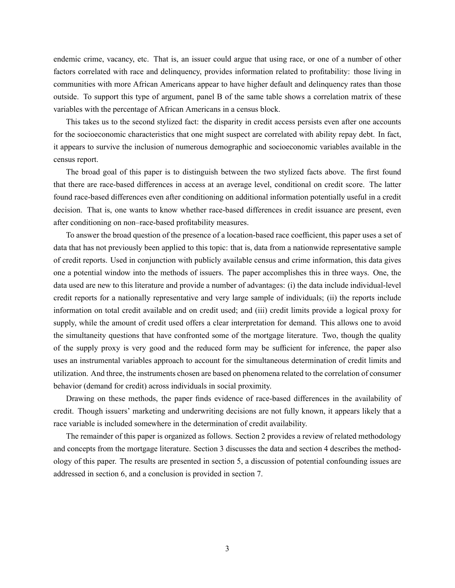endemic crime, vacancy, etc. That is, an issuer could argue that using race, or one of a number of other factors correlated with race and delinquency, provides information related to profitability: those living in communities with more African Americans appear to have higher default and delinquency rates than those outside. To support this type of argument, panel B of the same table shows a correlation matrix of these variables with the percentage of African Americans in a census block.

This takes us to the second stylized fact: the disparity in credit access persists even after one accounts for the socioeconomic characteristics that one might suspect are correlated with ability repay debt. In fact, it appears to survive the inclusion of numerous demographic and socioeconomic variables available in the census report.

The broad goal of this paper is to distinguish between the two stylized facts above. The first found that there are race-based differences in access at an average level, conditional on credit score. The latter found race-based differences even after conditioning on additional information potentially useful in a credit decision. That is, one wants to know whether race-based differences in credit issuance are present, even after conditioning on non-race-based profitability measures.

To answer the broad question of the presence of a location-based race coefficient, this paper uses a set of data that has not previously been applied to this topic: that is, data from a nationwide representative sample of credit reports. Used in conjunction with publicly available census and crime information, this data gives one a potential window into the methods of issuers. The paper accomplishes this in three ways. One, the data used are new to this literature and provide a number of advantages: (i) the data include individual-level credit reports for a nationally representative and very large sample of individuals; (ii) the reports include information on total credit available and on credit used; and (iii) credit limits provide a logical proxy for supply, while the amount of credit used offers a clear interpretation for demand. This allows one to avoid the simultaneity questions that have confronted some of the mortgage literature. Two, though the quality of the supply proxy is very good and the reduced form may be sufficient for inference, the paper also uses an instrumental variables approach to account for the simultaneous determination of credit limits and utilization. And three, the instruments chosen are based on phenomena related to the correlation of consumer behavior (demand for credit) across individuals in social proximity.

Drawing on these methods, the paper finds evidence of race-based differences in the availability of credit. Though issuers' marketing and underwriting decisions are not fully known, it appears likely that a race variable is included somewhere in the determination of credit availability.

The remainder of this paper is organized as follows. Section 2 provides a review of related methodology and concepts from the mortgage literature. Section 3 discusses the data and section 4 describes the methodology of this paper. The results are presented in section 5, a discussion of potential confounding issues are addressed in section 6, and a conclusion is provided in section 7.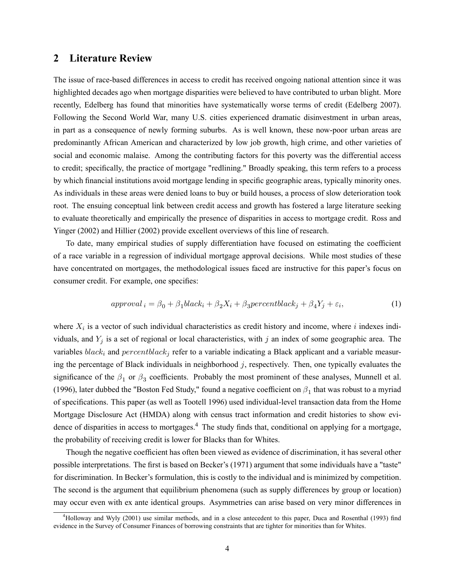# 2 Literature Review

The issue of race-based differences in access to credit has received ongoing national attention since it was highlighted decades ago when mortgage disparities were believed to have contributed to urban blight. More recently, Edelberg has found that minorities have systematically worse terms of credit (Edelberg 2007). Following the Second World War, many U.S. cities experienced dramatic disinvestment in urban areas, in part as a consequence of newly forming suburbs. As is well known, these now-poor urban areas are predominantly African American and characterized by low job growth, high crime, and other varieties of social and economic malaise. Among the contributing factors for this poverty was the differential access to credit; specifically, the practice of mortgage "redlining." Broadly speaking, this term refers to a process by which financial institutions avoid mortgage lending in specific geographic areas, typically minority ones. As individuals in these areas were denied loans to buy or build houses, a process of slow deterioration took root. The ensuing conceptual link between credit access and growth has fostered a large literature seeking to evaluate theoretically and empirically the presence of disparities in access to mortgage credit. Ross and Yinger (2002) and Hillier (2002) provide excellent overviews of this line of research.

To date, many empirical studies of supply differentiation have focused on estimating the coefficient of a race variable in a regression of individual mortgage approval decisions. While most studies of these have concentrated on mortgages, the methodological issues faced are instructive for this paper's focus on consumer credit. For example, one specifies:

$$
approval_i = \beta_0 + \beta_1 black_i + \beta_2X_i + \beta_3 percentblack_j + \beta_4Y_j + \varepsilon_i,
$$
\n(1)

where  $X_i$  is a vector of such individual characteristics as credit history and income, where i indexes individuals, and  $Y_j$  is a set of regional or local characteristics, with j an index of some geographic area. The variables  $black_i$  and  $percentblack_i$  refer to a variable indicating a Black applicant and a variable measuring the percentage of Black individuals in neighborhood  $j$ , respectively. Then, one typically evaluates the significance of the  $\beta_1$  or  $\beta_3$  coefficients. Probably the most prominent of these analyses, Munnell et al. (1996), later dubbed the "Boston Fed Study," found a negative coefficient on  $\beta_1$  that was robust to a myriad of specifications. This paper (as well as Tootell 1996) used individual-level transaction data from the Home Mortgage Disclosure Act (HMDA) along with census tract information and credit histories to show evidence of disparities in access to mortgages.<sup>4</sup> The study finds that, conditional on applying for a mortgage, the probability of receiving credit is lower for Blacks than for Whites.

Though the negative coefficient has often been viewed as evidence of discrimination, it has several other possible interpretations. The first is based on Becker's (1971) argument that some individuals have a "taste" for discrimination. In Becker's formulation, this is costly to the individual and is minimized by competition. The second is the argument that equilibrium phenomena (such as supply differences by group or location) may occur even with ex ante identical groups. Asymmetries can arise based on very minor differences in

 $4H$ olloway and Wyly (2001) use similar methods, and in a close antecedent to this paper, Duca and Rosenthal (1993) find evidence in the Survey of Consumer Finances of borrowing constraints that are tighter for minorities than for Whites.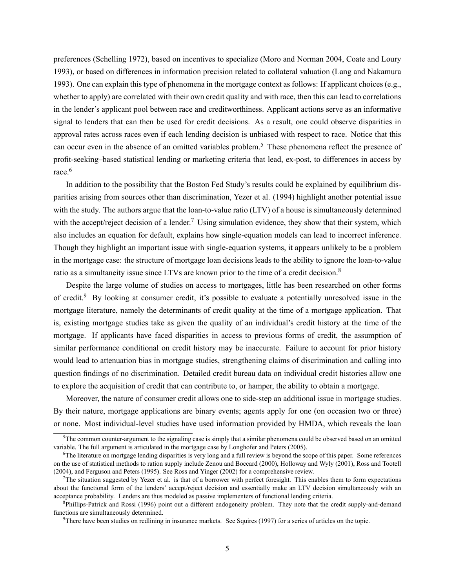preferences (Schelling 1972), based on incentives to specialize (Moro and Norman 2004, Coate and Loury 1993), or based on differences in information precision related to collateral valuation (Lang and Nakamura 1993). One can explain this type of phenomena in the mortgage context as follows: If applicant choices (e.g., whether to apply) are correlated with their own credit quality and with race, then this can lead to correlations in the lender's applicant pool between race and creditworthiness. Applicant actions serve as an informative signal to lenders that can then be used for credit decisions. As a result, one could observe disparities in approval rates across races even if each lending decision is unbiased with respect to race. Notice that this can occur even in the absence of an omitted variables problem.<sup>5</sup> These phenomena reflect the presence of profit-seeking-based statistical lending or marketing criteria that lead, ex-post, to differences in access by race.<sup>6</sup>

In addition to the possibility that the Boston Fed Study's results could be explained by equilibrium disparities arising from sources other than discrimination, Yezer et al. (1994) highlight another potential issue with the study. The authors argue that the loan-to-value ratio (LTV) of a house is simultaneously determined with the accept/reject decision of a lender.<sup>7</sup> Using simulation evidence, they show that their system, which also includes an equation for default, explains how single-equation models can lead to incorrect inference. Though they highlight an important issue with single-equation systems, it appears unlikely to be a problem in the mortgage case: the structure of mortgage loan decisions leads to the ability to ignore the loan-to-value ratio as a simultaneity issue since LTVs are known prior to the time of a credit decision.<sup>8</sup>

Despite the large volume of studies on access to mortgages, little has been researched on other forms of credit.<sup>9</sup> By looking at consumer credit, it's possible to evaluate a potentially unresolved issue in the mortgage literature, namely the determinants of credit quality at the time of a mortgage application. That is, existing mortgage studies take as given the quality of an individual's credit history at the time of the mortgage. If applicants have faced disparities in access to previous forms of credit, the assumption of similar performance conditional on credit history may be inaccurate. Failure to account for prior history would lead to attenuation bias in mortgage studies, strengthening claims of discrimination and calling into question findings of no discrimination. Detailed credit bureau data on individual credit histories allow one to explore the acquisition of credit that can contribute to, or hamper, the ability to obtain a mortgage.

Moreover, the nature of consumer credit allows one to side-step an additional issue in mortgage studies. By their nature, mortgage applications are binary events; agents apply for one (on occasion two or three) or none. Most individual-level studies have used information provided by HMDA, which reveals the loan

<sup>&</sup>lt;sup>5</sup>The common counter-argument to the signaling case is simply that a similar phenomena could be observed based on an omitted variable. The full argument is articulated in the mortgage case by Longhofer and Peters (2005).

<sup>6</sup>The literature on mortgage lending disparities is very long and a full review is beyond the scope of this paper. Some references on the use of statistical methods to ration supply include Zenou and Boccard (2000), Holloway and Wyly (2001), Ross and Tootell (2004), and Ferguson and Peters (1995). See Ross and Yinger (2002) for a comprehensive review.

 $<sup>7</sup>$ The situation suggested by Yezer et al. is that of a borrower with perfect foresight. This enables them to form expectations</sup> about the functional form of the lenders' accept/reject decision and essentially make an LTV decision simultaneously with an acceptance probability. Lenders are thus modeled as passive implementers of functional lending criteria.

<sup>&</sup>lt;sup>8</sup>Phillips-Patrick and Rossi (1996) point out a different endogeneity problem. They note that the credit supply-and-demand functions are simultaneously determined.

<sup>&</sup>lt;sup>9</sup>There have been studies on redlining in insurance markets. See Squires (1997) for a series of articles on the topic.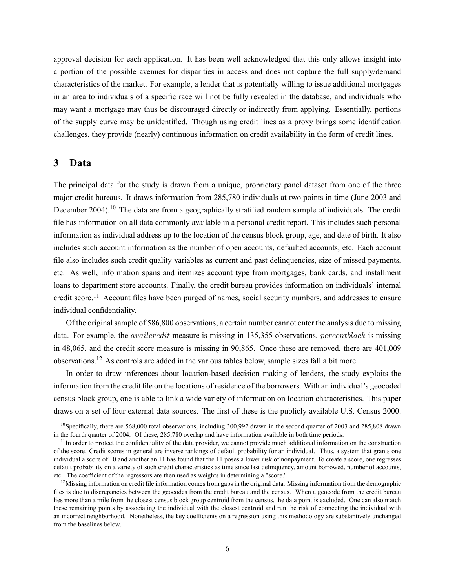approval decision for each application. It has been well acknowledged that this only allows insight into a portion of the possible avenues for disparities in access and does not capture the full supply/demand characteristics of the market. For example, a lender that is potentially willing to issue additional mortgages in an area to individuals of a specific race will not be fully revealed in the database, and individuals who may want a mortgage may thus be discouraged directly or indirectly from applying. Essentially, portions of the supply curve may be unidentified. Though using credit lines as a proxy brings some identification challenges, they provide (nearly) continuous information on credit availability in the form of credit lines.

#### 3 Data

The principal data for the study is drawn from a unique, proprietary panel dataset from one of the three major credit bureaus. It draws information from 285,780 individuals at two points in time (June 2003 and December 2004).<sup>10</sup> The data are from a geographically stratified random sample of individuals. The credit file has information on all data commonly available in a personal credit report. This includes such personal information as individual address up to the location of the census block group, age, and date of birth. It also includes such account information as the number of open accounts, defaulted accounts, etc. Each account file also includes such credit quality variables as current and past delinquencies, size of missed payments, etc. As well, information spans and itemizes account type from mortgages, bank cards, and installment loans to department store accounts. Finally, the credit bureau provides information on individuals' internal credit score.<sup>11</sup> Account files have been purged of names, social security numbers, and addresses to ensure individual confidentiality.

Of the original sample of 586,800 observations, a certain number cannot enter the analysis due to missing data. For example, the *availcredit* measure is missing in 135,355 observations, *percentblack* is missing in 48,065, and the credit score measure is missing in 90,865. Once these are removed, there are 401,009 observations.<sup>12</sup> As controls are added in the various tables below, sample sizes fall a bit more.

In order to draw inferences about location-based decision making of lenders, the study exploits the information from the credit file on the locations of residence of the borrowers. With an individual's geocoded census block group, one is able to link a wide variety of information on location characteristics. This paper draws on a set of four external data sources. The first of these is the publicly available U.S. Census 2000.

<sup>&</sup>lt;sup>10</sup>Specifically, there are 568,000 total observations, including  $300,992$  drawn in the second quarter of 2003 and 285,808 drawn in the fourth quarter of 2004. Of these, 285,780 overlap and have information available in both time periods.

 $11$ In order to protect the confidentiality of the data provider, we cannot provide much additional information on the construction of the score. Credit scores in general are inverse rankings of default probability for an individual. Thus, a system that grants one individual a score of 10 and another an 11 has found that the 11 poses a lower risk of nonpayment. To create a score, one regresses default probability on a variety of such credit characteristics as time since last delinquency, amount borrowed, number of accounts, etc. The coefficient of the regressors are then used as weights in determining a "score."

 $12$ Missing information on credit file information comes from gaps in the original data. Missing information from the demographic files is due to discrepancies between the geocodes from the credit bureau and the census. When a geocode from the credit bureau lies more than a mile from the closest census block group centroid from the census, the data point is excluded. One can also match these remaining points by associating the individual with the closest centroid and run the risk of connecting the individual with an incorrect neighborhood. Nonetheless, the key coefficients on a regression using this methodology are substantively unchanged from the baselines below.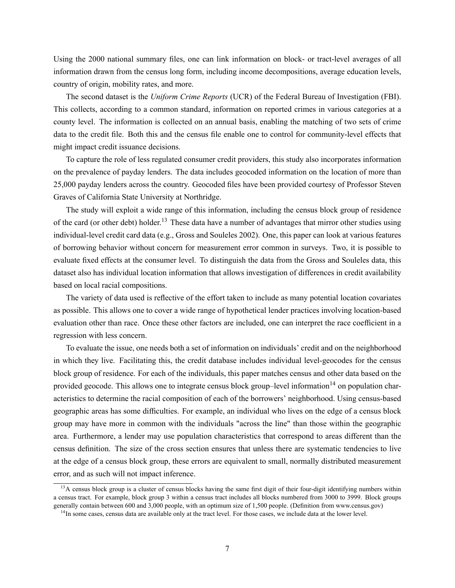Using the 2000 national summary files, one can link information on block- or tract-level averages of all information drawn from the census long form, including income decompositions, average education levels, country of origin, mobility rates, and more.

The second dataset is the Uniform Crime Reports (UCR) of the Federal Bureau of Investigation (FBI). This collects, according to a common standard, information on reported crimes in various categories at a county level. The information is collected on an annual basis, enabling the matching of two sets of crime data to the credit file. Both this and the census file enable one to control for community-level effects that might impact credit issuance decisions.

To capture the role of less regulated consumer credit providers, this study also incorporates information on the prevalence of payday lenders. The data includes geocoded information on the location of more than 25,000 payday lenders across the country. Geocoded files have been provided courtesy of Professor Steven Graves of California State University at Northridge.

The study will exploit a wide range of this information, including the census block group of residence of the card (or other debt) holder.<sup>13</sup> These data have a number of advantages that mirror other studies using individual-level credit card data (e.g., Gross and Souleles 2002). One, this paper can look at various features of borrowing behavior without concern for measurement error common in surveys. Two, it is possible to evaluate fixed effects at the consumer level. To distinguish the data from the Gross and Souleles data, this dataset also has individual location information that allows investigation of differences in credit availability based on local racial compositions.

The variety of data used is reflective of the effort taken to include as many potential location covariates as possible. This allows one to cover a wide range of hypothetical lender practices involving location-based evaluation other than race. Once these other factors are included, one can interpret the race coefficient in a regression with less concern.

To evaluate the issue, one needs both a set of information on individuals' credit and on the neighborhood in which they live. Facilitating this, the credit database includes individual level-geocodes for the census block group of residence. For each of the individuals, this paper matches census and other data based on the provided geocode. This allows one to integrate census block group-level information<sup>14</sup> on population characteristics to determine the racial composition of each of the borrowers' neighborhood. Using census-based geographic areas has some difficulties. For example, an individual who lives on the edge of a census block group may have more in common with the individuals "across the line" than those within the geographic area. Furthermore, a lender may use population characteristics that correspond to areas different than the census definition. The size of the cross section ensures that unless there are systematic tendencies to live at the edge of a census block group, these errors are equivalent to small, normally distributed measurement error, and as such will not impact inference.

 $13A$  census block group is a cluster of census blocks having the same first digit of their four-digit identifying numbers within a census tract. For example, block group 3 within a census tract includes all blocks numbered from 3000 to 3999. Block groups generally contain between 600 and 3,000 people, with an optimum size of 1,500 people. (Definition from www.census.gov)

 $<sup>14</sup>$ In some cases, census data are available only at the tract level. For those cases, we include data at the lower level.</sup>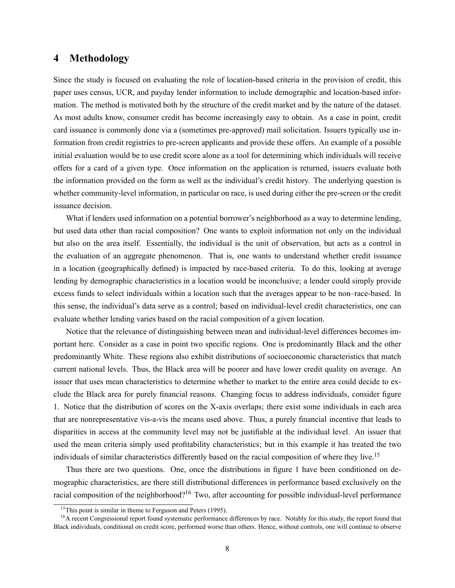# 4 Methodology

Since the study is focused on evaluating the role of location-based criteria in the provision of credit, this paper uses census, UCR, and payday lender information to include demographic and location-based information. The method is motivated both by the structure of the credit market and by the nature of the dataset. As most adults know, consumer credit has become increasingly easy to obtain. As a case in point, credit card issuance is commonly done via a (sometimes pre-approved) mail solicitation. Issuers typically use information from credit registries to pre-screen applicants and provide these offers. An example of a possible initial evaluation would be to use credit score alone as a tool for determining which individuals will receive offers for a card of a given type. Once information on the application is returned, issuers evaluate both the information provided on the form as well as the individual's credit history. The underlying question is whether community-level information, in particular on race, is used during either the pre-screen or the credit issuance decision.

What if lenders used information on a potential borrower's neighborhood as a way to determine lending, but used data other than racial composition? One wants to exploit information not only on the individual but also on the area itself. Essentially, the individual is the unit of observation, but acts as a control in the evaluation of an aggregate phenomenon. That is, one wants to understand whether credit issuance in a location (geographically defined) is impacted by race-based criteria. To do this, looking at average lending by demographic characteristics in a location would be inconclusive; a lender could simply provide excess funds to select individuals within a location such that the averages appear to be non-race-based. In this sense, the individual's data serve as a control; based on individual-level credit characteristics, one can evaluate whether lending varies based on the racial composition of a given location.

Notice that the relevance of distinguishing between mean and individual-level differences becomes important here. Consider as a case in point two specific regions. One is predominantly Black and the other predominantly White. These regions also exhibit distributions of socioeconomic characteristics that match current national levels. Thus, the Black area will be poorer and have lower credit quality on average. An issuer that uses mean characteristics to determine whether to market to the entire area could decide to exclude the Black area for purely financial reasons. Changing focus to address individuals, consider figure 1. Notice that the distribution of scores on the X-axis overlaps; there exist some individuals in each area that are nonrepresentative vis-a-vis the means used above. Thus, a purely financial incentive that leads to disparities in access at the community level may not be justifiable at the individual level. An issuer that used the mean criteria simply used profitability characteristics; but in this example it has treated the two individuals of similar characteristics differently based on the racial composition of where they live.<sup>15</sup>

Thus there are two questions. One, once the distributions in figure 1 have been conditioned on demographic characteristics, are there still distributional differences in performance based exclusively on the racial composition of the neighborhood?<sup>16</sup> Two, after accounting for possible individual-level performance

<sup>&</sup>lt;sup>15</sup>This point is similar in theme to Ferguson and Peters  $(1995)$ .

<sup>&</sup>lt;sup>16</sup>A recent Congressional report found systematic performance differences by race. Notably for this study, the report found that Black individuals, conditional on credit score, performed worse than others. Hence, without controls, one will continue to observe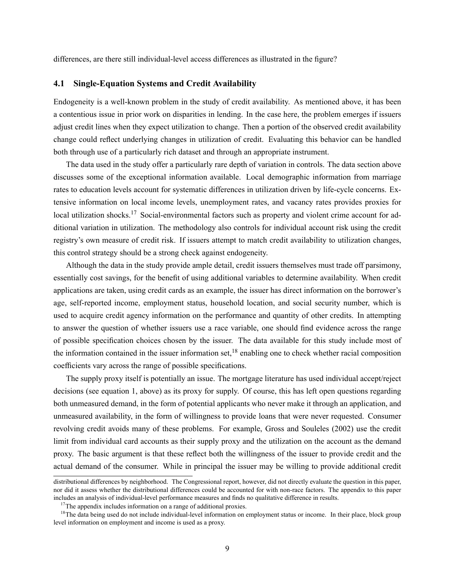differences, are there still individual-level access differences as illustrated in the figure?

#### 4.1 Single-Equation Systems and Credit Availability

Endogeneity is a well-known problem in the study of credit availability. As mentioned above, it has been a contentious issue in prior work on disparities in lending. In the case here, the problem emerges if issuers adjust credit lines when they expect utilization to change. Then a portion of the observed credit availability change could reflect underlying changes in utilization of credit. Evaluating this behavior can be handled both through use of a particularly rich dataset and through an appropriate instrument.

The data used in the study offer a particularly rare depth of variation in controls. The data section above discusses some of the exceptional information available. Local demographic information from marriage rates to education levels account for systematic differences in utilization driven by life-cycle concerns. Extensive information on local income levels, unemployment rates, and vacancy rates provides proxies for local utilization shocks.<sup>17</sup> Social-environmental factors such as property and violent crime account for additional variation in utilization. The methodology also controls for individual account risk using the credit registry's own measure of credit risk. If issuers attempt to match credit availability to utilization changes, this control strategy should be a strong check against endogeneity.

Although the data in the study provide ample detail, credit issuers themselves must trade off parsimony, essentially cost savings, for the benefit of using additional variables to determine availability. When credit applications are taken, using credit cards as an example, the issuer has direct information on the borrower's age, self-reported income, employment status, household location, and social security number, which is used to acquire credit agency information on the performance and quantity of other credits. In attempting to answer the question of whether issuers use a race variable, one should find evidence across the range of possible specification choices chosen by the issuer. The data available for this study include most of the information contained in the issuer information set,<sup>18</sup> enabling one to check whether racial composition coefficients vary across the range of possible specifications.

The supply proxy itself is potentially an issue. The mortgage literature has used individual accept/reject decisions (see equation 1, above) as its proxy for supply. Of course, this has left open questions regarding both unmeasured demand, in the form of potential applicants who never make it through an application, and unmeasured availability, in the form of willingness to provide loans that were never requested. Consumer revolving credit avoids many of these problems. For example, Gross and Souleles (2002) use the credit limit from individual card accounts as their supply proxy and the utilization on the account as the demand proxy. The basic argument is that these reflect both the willingness of the issuer to provide credit and the actual demand of the consumer. While in principal the issuer may be willing to provide additional credit

distributional differences by neighborhood. The Congressional report, however, did not directly evaluate the question in this paper, nor did it assess whether the distributional differences could be accounted for with non-race factors. The appendix to this paper includes an analysis of individual-level performance measures and finds no qualitative difference in results.

<sup>&</sup>lt;sup>17</sup>The appendix includes information on a range of additional proxies.

<sup>&</sup>lt;sup>18</sup>The data being used do not include individual-level information on employment status or income. In their place, block group level information on employment and income is used as a proxy.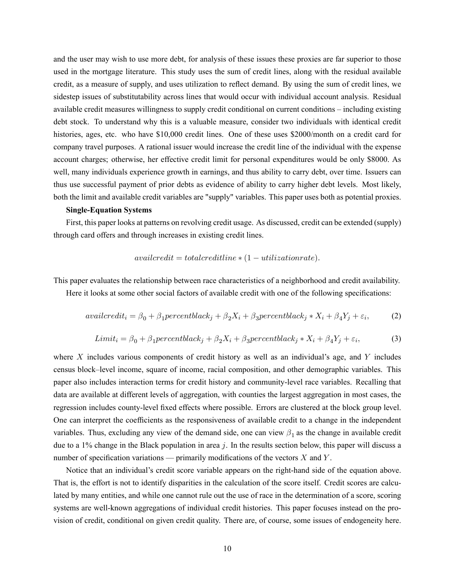and the user may wish to use more debt, for analysis of these issues these proxies are far superior to those used in the mortgage literature. This study uses the sum of credit lines, along with the residual available credit, as a measure of supply, and uses utilization to reflect demand. By using the sum of credit lines, we sidestep issues of substitutability across lines that would occur with individual account analysis. Residual available credit measures willingness to supply credit conditional on current conditions – including existing debt stock. To understand why this is a valuable measure, consider two individuals with identical credit histories, ages, etc. who have \$10,000 credit lines. One of these uses \$2000/month on a credit card for company travel purposes. A rational issuer would increase the credit line of the individual with the expense account charges; otherwise, her effective credit limit for personal expenditures would be only \$8000. As well, many individuals experience growth in earnings, and thus ability to carry debt, over time. Issuers can thus use successful payment of prior debts as evidence of ability to carry higher debt levels. Most likely, both the limit and available credit variables are "supply" variables. This paper uses both as potential proxies.

#### Single-Equation Systems

First, this paper looks at patterns on revolving credit usage. As discussed, credit can be extended (supply) through card offers and through increases in existing credit lines.

$$
available: to the fact of a time * (1-utilization rate).
$$

This paper evaluates the relationship between race characteristics of a neighborhood and credit availability.

Here it looks at some other social factors of available credit with one of the following specifications:

$$
available if i = \beta_0 + \beta_1 percentblack_j + \beta_2 X_i + \beta_3 percentblack_j * X_i + \beta_4 Y_j + \varepsilon_i,
$$
 (2)

$$
Limit_i = \beta_0 + \beta_1 percentblack_j + \beta_2 X_i + \beta_3 percentblack_j * X_i + \beta_4 Y_j + \varepsilon_i,
$$
\n(3)

where  $X$  includes various components of credit history as well as an individual's age, and  $Y$  includes census block–level income, square of income, racial composition, and other demographic variables. This paper also includes interaction terms for credit history and community-level race variables. Recalling that data are available at different levels of aggregation, with counties the largest aggregation in most cases, the regression includes county-level fixed effects where possible. Errors are clustered at the block group level. One can interpret the coefficients as the responsiveness of available credit to a change in the independent variables. Thus, excluding any view of the demand side, one can view  $\beta_1$  as the change in available credit due to a 1% change in the Black population in area  $j$ . In the results section below, this paper will discuss a number of specification variations — primarily modifications of the vectors  $X$  and  $Y$ .

Notice that an individual's credit score variable appears on the right-hand side of the equation above. That is, the effort is not to identify disparities in the calculation of the score itself. Credit scores are calculated by many entities, and while one cannot rule out the use of race in the determination of a score, scoring systems are well-known aggregations of individual credit histories. This paper focuses instead on the provision of credit, conditional on given credit quality. There are, of course, some issues of endogeneity here.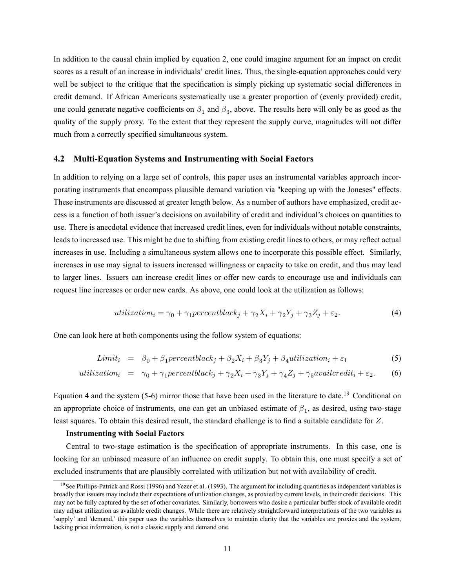In addition to the causal chain implied by equation 2, one could imagine argument for an impact on credit scores as a result of an increase in individuals' credit lines. Thus, the single-equation approaches could very well be subject to the critique that the specification is simply picking up systematic social differences in credit demand. If African Americans systematically use a greater proportion of (evenly provided) credit, one could generate negative coefficients on  $\beta_1$  and  $\beta_3$ , above. The results here will only be as good as the quality of the supply proxy. To the extent that they represent the supply curve, magnitudes will not differ much from a correctly specified simultaneous system.

#### 4.2 Multi-Equation Systems and Instrumenting with Social Factors

In addition to relying on a large set of controls, this paper uses an instrumental variables approach incorporating instruments that encompass plausible demand variation via "keeping up with the Joneses" effects. These instruments are discussed at greater length below. As a number of authors have emphasized, credit access is a function of both issuer's decisions on availability of credit and individual's choices on quantities to use. There is anecdotal evidence that increased credit lines, even for individuals without notable constraints, leads to increased use. This might be due to shifting from existing credit lines to others, or may reflect actual increases in use. Including a simultaneous system allows one to incorporate this possible effect. Similarly, increases in use may signal to issuers increased willingness or capacity to take on credit, and thus may lead to larger lines. Issuers can increase credit lines or offer new cards to encourage use and individuals can request line increases or order new cards. As above, one could look at the utilization as follows:

$$
utilization_i = \gamma_0 + \gamma_1 percentblack_j + \gamma_2 X_i + \gamma_2 Y_j + \gamma_3 Z_j + \varepsilon_2. \tag{4}
$$

One can look here at both components using the follow system of equations:

$$
Limit_i = \beta_0 + \beta_1 percentblack_j + \beta_2 X_i + \beta_3 Y_j + \beta_4 utilization_i + \varepsilon_1 \tag{5}
$$

$$
utilization_i = \gamma_0 + \gamma_1 percentblack_j + \gamma_2 X_i + \gamma_3 Y_j + \gamma_4 Z_j + \gamma_5 available_i + \varepsilon_2. \tag{6}
$$

Equation 4 and the system  $(5-6)$  mirror those that have been used in the literature to date.<sup>19</sup> Conditional on an appropriate choice of instruments, one can get an unbiased estimate of  $\beta_1$ , as desired, using two-stage least squares. To obtain this desired result, the standard challenge is to find a suitable candidate for  $Z$ .

#### Instrumenting with Social Factors

Central to two-stage estimation is the specification of appropriate instruments. In this case, one is looking for an unbiased measure of an influence on credit supply. To obtain this, one must specify a set of excluded instruments that are plausibly correlated with utilization but not with availability of credit.

<sup>&</sup>lt;sup>19</sup>See Phillips-Patrick and Rossi (1996) and Yezer et al. (1993). The argument for including quantities as independent variables is broadly that issuers may include their expectations of utilization changes, as proxied by current levels, in their credit decisions. This may not be fully captured by the set of other covariates. Similarly, borrowers who desire a particular buffer stock of available credit may adjust utilization as available credit changes. While there are relatively straightforward interpretations of the two variables as 'supply' and 'demand,' this paper uses the variables themselves to maintain clarity that the variables are proxies and the system, lacking price information, is not a classic supply and demand one.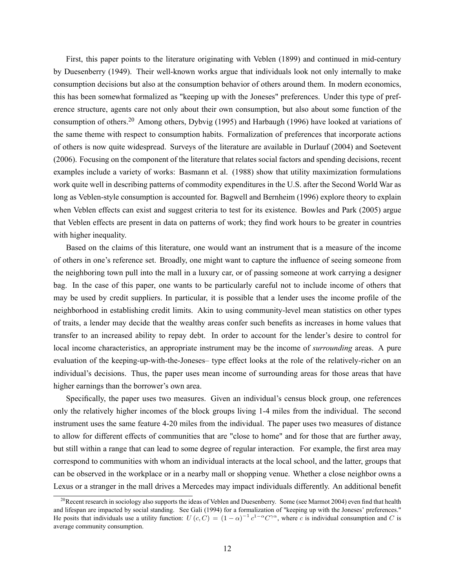First, this paper points to the literature originating with Veblen (1899) and continued in mid-century by Duesenberry (1949). Their well-known works argue that individuals look not only internally to make consumption decisions but also at the consumption behavior of others around them. In modern economics, this has been somewhat formalized as "keeping up with the Joneses" preferences. Under this type of preference structure, agents care not only about their own consumption, but also about some function of the consumption of others.<sup>20</sup> Among others, Dybvig (1995) and Harbaugh (1996) have looked at variations of the same theme with respect to consumption habits. Formalization of preferences that incorporate actions of others is now quite widespread. Surveys of the literature are available in Durlauf (2004) and Soetevent (2006). Focusing on the component of the literature that relates social factors and spending decisions, recent examples include a variety of works: Basmann et al. (1988) show that utility maximization formulations work quite well in describing patterns of commodity expenditures in the U.S. after the Second World War as long as Veblen-style consumption is accounted for. Bagwell and Bernheim (1996) explore theory to explain when Veblen effects can exist and suggest criteria to test for its existence. Bowles and Park (2005) argue that Veblen effects are present in data on patterns of work; they find work hours to be greater in countries with higher inequality.

Based on the claims of this literature, one would want an instrument that is a measure of the income of others in one's reference set. Broadly, one might want to capture the influence of seeing someone from the neighboring town pull into the mall in a luxury car, or of passing someone at work carrying a designer bag. In the case of this paper, one wants to be particularly careful not to include income of others that may be used by credit suppliers. In particular, it is possible that a lender uses the income profile of the neighborhood in establishing credit limits. Akin to using community-level mean statistics on other types of traits, a lender may decide that the wealthy areas confer such benefits as increases in home values that transfer to an increased ability to repay debt. In order to account for the lender's desire to control for local income characteristics, an appropriate instrument may be the income of *surrounding* areas. A pure evaluation of the keeping-up-with-the-Joneses— type effect looks at the role of the relatively-richer on an individual's decisions. Thus, the paper uses mean income of surrounding areas for those areas that have higher earnings than the borrower's own area.

Specifically, the paper uses two measures. Given an individual's census block group, one references only the relatively higher incomes of the block groups living 1-4 miles from the individual. The second instrument uses the same feature 4-20 miles from the individual. The paper uses two measures of distance to allow for different effects of communities that are "close to home" and for those that are further away, but still within a range that can lead to some degree of regular interaction. For example, the first area may correspond to communities with whom an individual interacts at the local school, and the latter, groups that can be observed in the workplace or in a nearby mall or shopping venue. Whether a close neighbor owns a Lexus or a stranger in the mall drives a Mercedes may impact individuals differently. An additional benefit

<sup>&</sup>lt;sup>20</sup> Recent research in sociology also supports the ideas of Veblen and Duesenberry. Some (see Marmot 2004) even find that health and lifespan are impacted by social standing. See Gali (1994) for a formalization of "keeping up with the Joneses' preferences." He posits that individuals use a utility function:  $U(c, C) = (1 - \alpha)^{-1} c^{1 - \alpha} C^{\gamma \alpha}$ , where c is individual consumption and C is average community consumption.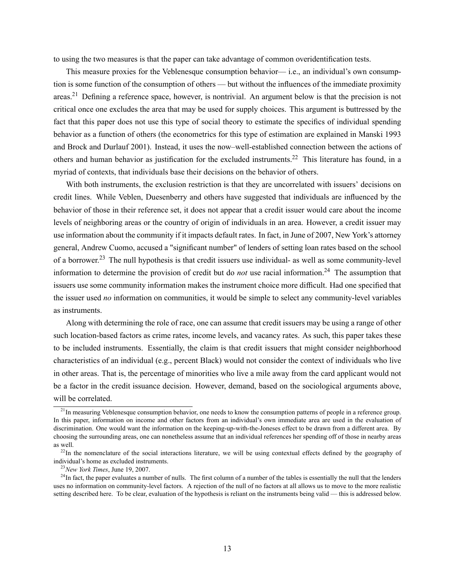to using the two measures is that the paper can take advantage of common overidentification tests.

This measure proxies for the Veblenesque consumption behavior— i.e., an individual's own consumption is some function of the consumption of others — but without the influences of the immediate proximity areas.<sup>21</sup> Defining a reference space, however, is nontrivial. An argument below is that the precision is not critical once one excludes the area that may be used for supply choices. This argument is buttressed by the fact that this paper does not use this type of social theory to estimate the specifics of individual spending behavior as a function of others (the econometrics for this type of estimation are explained in Manski 1993 and Brock and Durlauf 2001). Instead, it uses the now-well-established connection between the actions of others and human behavior as justification for the excluded instruments.<sup>22</sup> This literature has found, in a myriad of contexts, that individuals base their decisions on the behavior of others.

With both instruments, the exclusion restriction is that they are uncorrelated with issuers' decisions on credit lines. While Veblen, Duesenberry and others have suggested that individuals are influenced by the behavior of those in their reference set, it does not appear that a credit issuer would care about the income levels of neighboring areas or the country of origin of individuals in an area. However, a credit issuer may use information about the community if it impacts default rates. In fact, in June of 2007, New York's attorney general, Andrew Cuomo, accused a "significant number" of lenders of setting loan rates based on the school of a borrower.<sup>23</sup> The null hypothesis is that credit issuers use individual- as well as some community-level information to determine the provision of credit but do *not* use racial information.<sup>24</sup> The assumption that issuers use some community information makes the instrument choice more difficult. Had one specified that the issuer used *no* information on communities, it would be simple to select any community-level variables as instruments.

Along with determining the role of race, one can assume that credit issuers may be using a range of other such location-based factors as crime rates, income levels, and vacancy rates. As such, this paper takes these to be included instruments. Essentially, the claim is that credit issuers that might consider neighborhood characteristics of an individual (e.g., percent Black) would not consider the context of individuals who live in other areas. That is, the percentage of minorities who live a mile away from the card applicant would not be a factor in the credit issuance decision. However, demand, based on the sociological arguments above, will be correlated.

 $^{21}$ In measuring Veblenesque consumption behavior, one needs to know the consumption patterns of people in a reference group. In this paper, information on income and other factors from an individual's own immediate area are used in the evaluation of discrimination. One would want the information on the keeping-up-with-the-Joneses effect to be drawn from a different area. By choosing the surrounding areas, one can nonetheless assume that an individual references her spending off of those in nearby areas as well.

 $^{22}$ In the nomenclature of the social interactions literature, we will be using contextual effects defined by the geography of individual's home as excluded instruments.

 $23$ New York Times, June 19, 2007.

 $^{24}$ In fact, the paper evaluates a number of nulls. The first column of a number of the tables is essentially the null that the lenders uses no information on community-level factors. A rejection of the null of no factors at all allows us to move to the more realistic setting described here. To be clear, evaluation of the hypothesis is reliant on the instruments being valid — this is addressed below.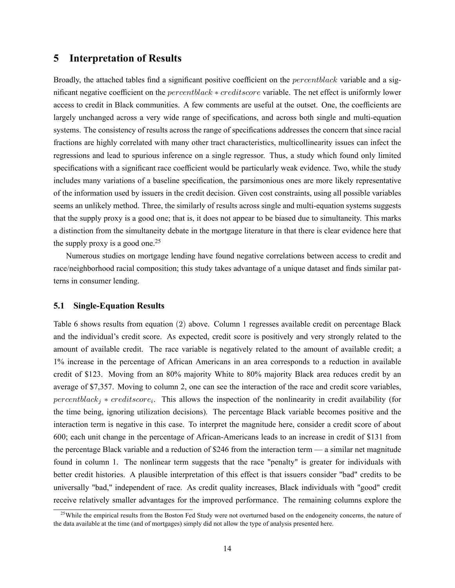### 5 Interpretation of Results

Broadly, the attached tables find a significant positive coefficient on the  $percentblack$  variable and a significant negative coefficient on the *percentblack*  $*$  *creditscore* variable. The net effect is uniformly lower access to credit in Black communities. A few comments are useful at the outset. One, the coefficients are largely unchanged across a very wide range of specifications, and across both single and multi-equation systems. The consistency of results across the range of specifications addresses the concern that since racial fractions are highly correlated with many other tract characteristics, multicollinearity issues can infect the regressions and lead to spurious inference on a single regressor. Thus, a study which found only limited specifications with a significant race coefficient would be particularly weak evidence. Two, while the study includes many variations of a baseline specification, the parsimonious ones are more likely representative of the information used by issuers in the credit decision. Given cost constraints, using all possible variables seems an unlikely method. Three, the similarly of results across single and multi-equation systems suggests that the supply proxy is a good one; that is, it does not appear to be biased due to simultaneity. This marks a distinction from the simultaneity debate in the mortgage literature in that there is clear evidence here that the supply proxy is a good one.<sup>25</sup>

Numerous studies on mortgage lending have found negative correlations between access to credit and race/neighborhood racial composition; this study takes advantage of a unique dataset and finds similar patterns in consumer lending.

#### 5.1 Single-Equation Results

Table 6 shows results from equation (2) above. Column 1 regresses available credit on percentage Black and the individual's credit score. As expected, credit score is positively and very strongly related to the amount of available credit. The race variable is negatively related to the amount of available credit; a 1% increase in the percentage of African Americans in an area corresponds to a reduction in available credit of \$123. Moving from an 80% majority White to 80% majority Black area reduces credit by an average of \$7,357. Moving to column 2, one can see the interaction of the race and credit score variables,  $percentblack_j * creditscore_i$ . This allows the inspection of the nonlinearity in credit availability (for the time being, ignoring utilization decisions). The percentage Black variable becomes positive and the interaction term is negative in this case. To interpret the magnitude here, consider a credit score of about 600; each unit change in the percentage of African-Americans leads to an increase in credit of \$131 from the percentage Black variable and a reduction of \$246 from the interaction term  $-$  a similar net magnitude found in column 1. The nonlinear term suggests that the race "penalty" is greater for individuals with better credit histories. A plausible interpretation of this effect is that issuers consider "bad" credits to be universally "bad," independent of race. As credit quality increases, Black individuals with "good" credit receive relatively smaller advantages for the improved performance. The remaining columns explore the

 $25$ While the empirical results from the Boston Fed Study were not overturned based on the endogeneity concerns, the nature of the data available at the time (and of mortgages) simply did not allow the type of analysis presented here.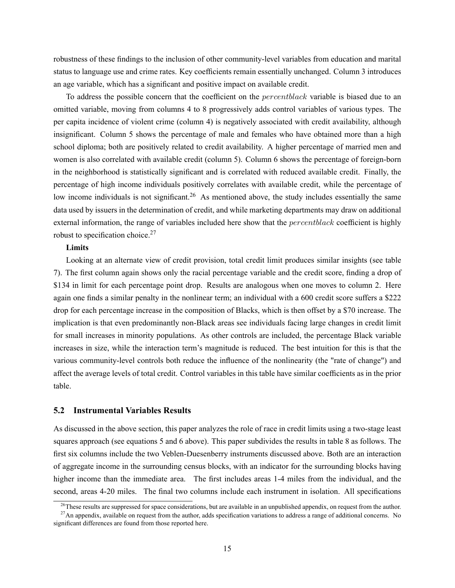robustness of these findings to the inclusion of other community-level variables from education and marital status to language use and crime rates. Key coefficients remain essentially unchanged. Column 3 introduces an age variable, which has a significant and positive impact on available credit.

To address the possible concern that the coefficient on the  $percentblack$  variable is biased due to an omitted variable, moving from columns 4 to 8 progressively adds control variables of various types. The per capita incidence of violent crime (column 4) is negatively associated with credit availability, although insignificant. Column 5 shows the percentage of male and females who have obtained more than a high school diploma; both are positively related to credit availability. A higher percentage of married men and women is also correlated with available credit (column 5). Column 6 shows the percentage of foreign-born in the neighborhood is statistically significant and is correlated with reduced available credit. Finally, the percentage of high income individuals positively correlates with available credit, while the percentage of low income individuals is not significant.<sup>26</sup> As mentioned above, the study includes essentially the same data used by issuers in the determination of credit, and while marketing departments may draw on additional external information, the range of variables included here show that the  $percentblack$  coefficient is highly robust to specification choice. $27$ 

#### **Limits**

Looking at an alternate view of credit provision, total credit limit produces similar insights (see table 7). The first column again shows only the racial percentage variable and the credit score, finding a drop of \$134 in limit for each percentage point drop. Results are analogous when one moves to column 2. Here again one finds a similar penalty in the nonlinear term; an individual with a 600 credit score suffers a \$222 drop for each percentage increase in the composition of Blacks, which is then offset by a \$70 increase. The implication is that even predominantly non-Black areas see individuals facing large changes in credit limit for small increases in minority populations. As other controls are included, the percentage Black variable increases in size, while the interaction term's magnitude is reduced. The best intuition for this is that the various community-level controls both reduce the influence of the nonlinearity (the "rate of change") and affect the average levels of total credit. Control variables in this table have similar coefficients as in the prior table.

#### 5.2 Instrumental Variables Results

As discussed in the above section, this paper analyzes the role of race in credit limits using a two-stage least squares approach (see equations 5 and 6 above). This paper subdivides the results in table 8 as follows. The first six columns include the two Veblen-Duesenberry instruments discussed above. Both are an interaction of aggregate income in the surrounding census blocks, with an indicator for the surrounding blocks having higher income than the immediate area. The first includes areas 1-4 miles from the individual, and the second, areas 4-20 miles. The final two columns include each instrument in isolation. All specifications

<sup>&</sup>lt;sup>26</sup>These results are suppressed for space considerations, but are available in an unpublished appendix, on request from the author.

 $^{27}$ An appendix, available on request from the author, adds specification variations to address a range of additional concerns. No significant differences are found from those reported here.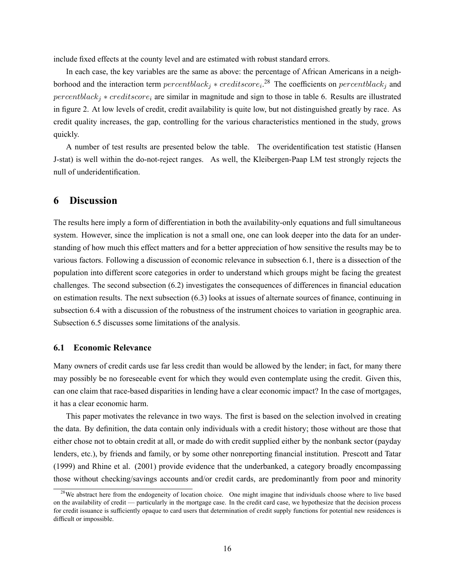include fixed effects at the county level and are estimated with robust standard errors.

In each case, the key variables are the same as above: the percentage of African Americans in a neighborhood and the interaction term  $percentblack_j * creditscore_i$ <sup>28</sup> The coefficients on  $percentblack_j$  and  $percentblack_i * creditscore_i$  are similar in magnitude and sign to those in table 6. Results are illustrated in figure 2. At low levels of credit, credit availability is quite low, but not distinguished greatly by race. As credit quality increases, the gap, controlling for the various characteristics mentioned in the study, grows quickly.

A number of test results are presented below the table. The overidentification test statistic (Hansen J-stat) is well within the do-not-reject ranges. As well, the Kleibergen-Paap LM test strongly rejects the null of underidentification.

# 6 Discussion

The results here imply a form of differentiation in both the availability-only equations and full simultaneous system. However, since the implication is not a small one, one can look deeper into the data for an understanding of how much this effect matters and for a better appreciation of how sensitive the results may be to various factors. Following a discussion of economic relevance in subsection 6.1, there is a dissection of the population into different score categories in order to understand which groups might be facing the greatest challenges. The second subsection (6.2) investigates the consequences of differences in financial education on estimation results. The next subsection (6.3) looks at issues of alternate sources of finance, continuing in subsection 6.4 with a discussion of the robustness of the instrument choices to variation in geographic area. Subsection 6.5 discusses some limitations of the analysis.

#### 6.1 Economic Relevance

Many owners of credit cards use far less credit than would be allowed by the lender; in fact, for many there may possibly be no foreseeable event for which they would even contemplate using the credit. Given this, can one claim that race-based disparities in lending have a clear economic impact? In the case of mortgages, it has a clear economic harm.

This paper motivates the relevance in two ways. The first is based on the selection involved in creating the data. By definition, the data contain only individuals with a credit history; those without are those that either chose not to obtain credit at all, or made do with credit supplied either by the nonbank sector (payday lenders, etc.), by friends and family, or by some other nonreporting financial institution. Prescott and Tatar (1999) and Rhine et al. (2001) provide evidence that the underbanked, a category broadly encompassing those without checking/savings accounts and/or credit cards, are predominantly from poor and minority

<sup>&</sup>lt;sup>28</sup>We abstract here from the endogeneity of location choice. One might imagine that individuals choose where to live based on the availability of credit — particularly in the mortgage case. In the credit card case, we hypothesize that the decision process for credit issuance is sufficiently opaque to card users that determination of credit supply functions for potential new residences is difficult or impossible.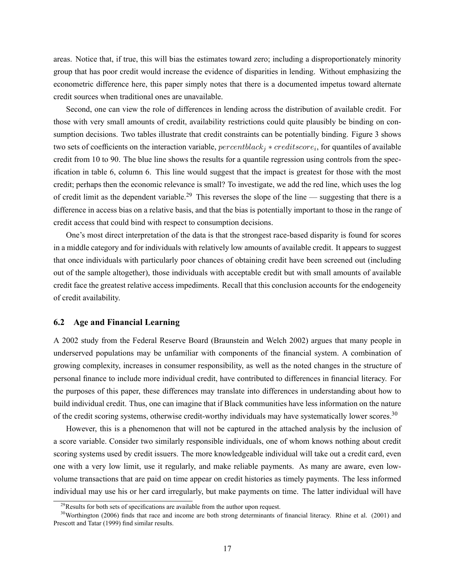areas. Notice that, if true, this will bias the estimates toward zero; including a disproportionately minority group that has poor credit would increase the evidence of disparities in lending. Without emphasizing the econometric difference here, this paper simply notes that there is a documented impetus toward alternate credit sources when traditional ones are unavailable.

Second, one can view the role of differences in lending across the distribution of available credit. For those with very small amounts of credit, availability restrictions could quite plausibly be binding on consumption decisions. Two tables illustrate that credit constraints can be potentially binding. Figure 3 shows two sets of coefficients on the interaction variable,  $percentblack_j * creditscore_i$ , for quantiles of available credit from 10 to 90. The blue line shows the results for a quantile regression using controls from the specification in table 6, column 6. This line would suggest that the impact is greatest for those with the most credit; perhaps then the economic relevance is small? To investigate, we add the red line, which uses the log of credit limit as the dependent variable.<sup>29</sup> This reverses the slope of the line — suggesting that there is a difference in access bias on a relative basis, and that the bias is potentially important to those in the range of credit access that could bind with respect to consumption decisions.

One's most direct interpretation of the data is that the strongest race-based disparity is found for scores in a middle category and for individuals with relatively low amounts of available credit. It appears to suggest that once individuals with particularly poor chances of obtaining credit have been screened out (including out of the sample altogether), those individuals with acceptable credit but with small amounts of available credit face the greatest relative access impediments. Recall that this conclusion accounts for the endogeneity of credit availability.

#### 6.2 Age and Financial Learning

A 2002 study from the Federal Reserve Board (Braunstein and Welch 2002) argues that many people in underserved populations may be unfamiliar with components of the financial system. A combination of growing complexity, increases in consumer responsibility, as well as the noted changes in the structure of personal finance to include more individual credit, have contributed to differences in financial literacy. For the purposes of this paper, these differences may translate into differences in understanding about how to build individual credit. Thus, one can imagine that if Black communities have less information on the nature of the credit scoring systems, otherwise credit-worthy individuals may have systematically lower scores.<sup>30</sup>

However, this is a phenomenon that will not be captured in the attached analysis by the inclusion of a score variable. Consider two similarly responsible individuals, one of whom knows nothing about credit scoring systems used by credit issuers. The more knowledgeable individual will take out a credit card, even one with a very low limit, use it regularly, and make reliable payments. As many are aware, even lowvolume transactions that are paid on time appear on credit histories as timely payments. The less informed individual may use his or her card irregularly, but make payments on time. The latter individual will have

 $^{29}$ Results for both sets of specifications are available from the author upon request.

 $30$ Worthington (2006) finds that race and income are both strong determinants of financial literacy. Rhine et al. (2001) and Prescott and Tatar (1999) find similar results.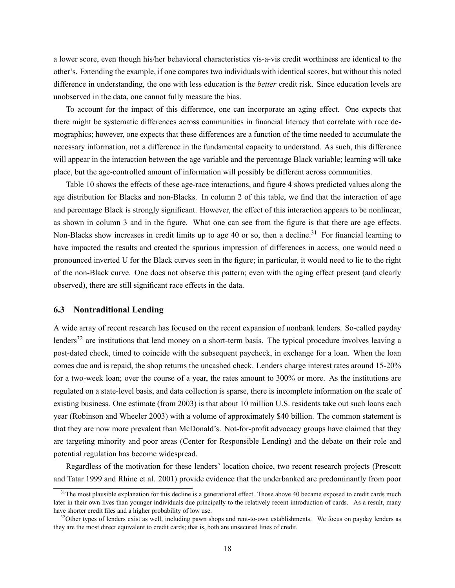a lower score, even though his/her behavioral characteristics vis-a-vis credit worthiness are identical to the other's. Extending the example, if one compares two individuals with identical scores, but without this noted difference in understanding, the one with less education is the better credit risk. Since education levels are unobserved in the data, one cannot fully measure the bias.

To account for the impact of this difference, one can incorporate an aging effect. One expects that there might be systematic differences across communities in financial literacy that correlate with race demographics; however, one expects that these differences are a function of the time needed to accumulate the necessary information, not a difference in the fundamental capacity to understand. As such, this difference will appear in the interaction between the age variable and the percentage Black variable; learning will take place, but the age-controlled amount of information will possibly be different across communities.

Table 10 shows the effects of these age-race interactions, and figure 4 shows predicted values along the age distribution for Blacks and non-Blacks. In column 2 of this table, we find that the interaction of age and percentage Black is strongly significant. However, the effect of this interaction appears to be nonlinear, as shown in column 3 and in the figure. What one can see from the figure is that there are age effects. Non-Blacks show increases in credit limits up to age 40 or so, then a decline.<sup>31</sup> For financial learning to have impacted the results and created the spurious impression of differences in access, one would need a pronounced inverted U for the Black curves seen in the figure; in particular, it would need to lie to the right of the non-Black curve. One does not observe this pattern; even with the aging effect present (and clearly observed), there are still significant race effects in the data.

#### 6.3 Nontraditional Lending

A wide array of recent research has focused on the recent expansion of nonbank lenders. So-called payday lenders<sup>32</sup> are institutions that lend money on a short-term basis. The typical procedure involves leaving a post-dated check, timed to coincide with the subsequent paycheck, in exchange for a loan. When the loan comes due and is repaid, the shop returns the uncashed check. Lenders charge interest rates around 15-20% for a two-week loan; over the course of a year, the rates amount to 300% or more. As the institutions are regulated on a state-level basis, and data collection is sparse, there is incomplete information on the scale of existing business. One estimate (from 2003) is that about 10 million U.S. residents take out such loans each year (Robinson and Wheeler 2003) with a volume of approximately \$40 billion. The common statement is that they are now more prevalent than McDonald's. Not-for-profit advocacy groups have claimed that they are targeting minority and poor areas (Center for Responsible Lending) and the debate on their role and potential regulation has become widespread.

Regardless of the motivation for these lenders' location choice, two recent research projects (Prescott and Tatar 1999 and Rhine et al. 2001) provide evidence that the underbanked are predominantly from poor

<sup>&</sup>lt;sup>31</sup>The most plausible explanation for this decline is a generational effect. Those above 40 became exposed to credit cards much later in their own lives than younger individuals due principally to the relatively recent introduction of cards. As a result, many have shorter credit files and a higher probability of low use.

 $32$ Other types of lenders exist as well, including pawn shops and rent-to-own establishments. We focus on payday lenders as they are the most direct equivalent to credit cards; that is, both are unsecured lines of credit.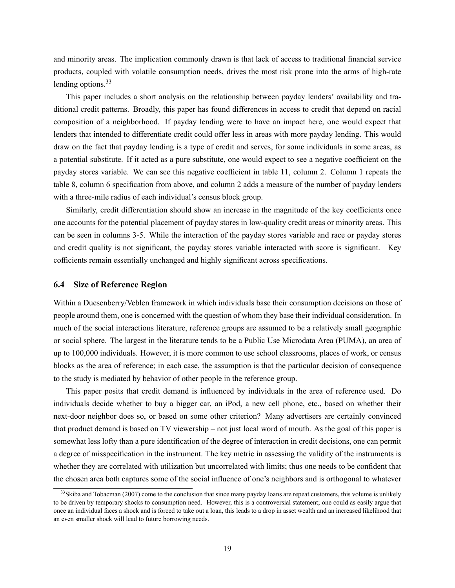and minority areas. The implication commonly drawn is that lack of access to traditional financial service products, coupled with volatile consumption needs, drives the most risk prone into the arms of high-rate lending options. $33$ 

This paper includes a short analysis on the relationship between payday lenders' availability and traditional credit patterns. Broadly, this paper has found differences in access to credit that depend on racial composition of a neighborhood. If payday lending were to have an impact here, one would expect that lenders that intended to differentiate credit could offer less in areas with more payday lending. This would draw on the fact that payday lending is a type of credit and serves, for some individuals in some areas, as a potential substitute. If it acted as a pure substitute, one would expect to see a negative coefficient on the payday stores variable. We can see this negative coefficient in table 11, column 2. Column 1 repeats the table 8, column 6 specification from above, and column 2 adds a measure of the number of payday lenders with a three-mile radius of each individual's census block group.

Similarly, credit differentiation should show an increase in the magnitude of the key coefficients once one accounts for the potential placement of payday stores in low-quality credit areas or minority areas. This can be seen in columns 3-5. While the interaction of the payday stores variable and race or payday stores and credit quality is not significant, the payday stores variable interacted with score is significant. Key cofficients remain essentially unchanged and highly significant across specifications.

#### 6.4 Size of Reference Region

Within a Duesenberry/Veblen framework in which individuals base their consumption decisions on those of people around them, one is concerned with the question of whom they base their individual consideration. In much of the social interactions literature, reference groups are assumed to be a relatively small geographic or social sphere. The largest in the literature tends to be a Public Use Microdata Area (PUMA), an area of up to 100,000 individuals. However, it is more common to use school classrooms, places of work, or census blocks as the area of reference; in each case, the assumption is that the particular decision of consequence to the study is mediated by behavior of other people in the reference group.

This paper posits that credit demand is influenced by individuals in the area of reference used. Do individuals decide whether to buy a bigger car, an iPod, a new cell phone, etc., based on whether their next-door neighbor does so, or based on some other criterion? Many advertisers are certainly convinced that product demand is based on TV viewership – not just local word of mouth. As the goal of this paper is somewhat less lofty than a pure identification of the degree of interaction in credit decisions, one can permit a degree of misspecification in the instrument. The key metric in assessing the validity of the instruments is whether they are correlated with utilization but uncorrelated with limits; thus one needs to be confident that the chosen area both captures some of the social influence of one's neighbors and is orthogonal to whatever

<sup>&</sup>lt;sup>33</sup>Skiba and Tobacman (2007) come to the conclusion that since many payday loans are repeat customers, this volume is unlikely to be driven by temporary shocks to consumption need. However, this is a controversial statement; one could as easily argue that once an individual faces a shock and is forced to take out a loan, this leads to a drop in asset wealth and an increased likelihood that an even smaller shock will lead to future borrowing needs.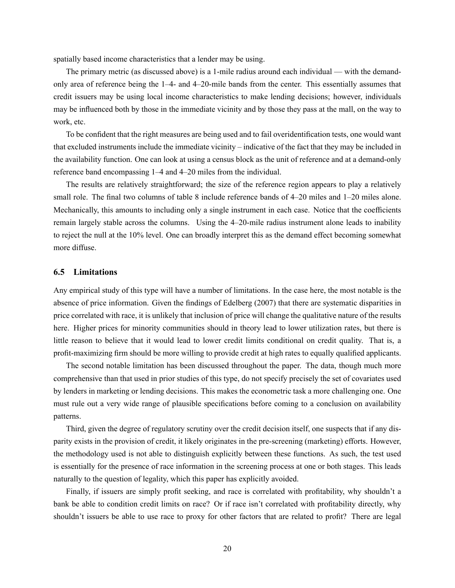spatially based income characteristics that a lender may be using.

The primary metric (as discussed above) is a 1-mile radius around each individual — with the demandonly area of reference being the  $1-4$ - and  $4-20$ -mile bands from the center. This essentially assumes that credit issuers may be using local income characteristics to make lending decisions; however, individuals may be influenced both by those in the immediate vicinity and by those they pass at the mall, on the way to work, etc.

To be confident that the right measures are being used and to fail overidentification tests, one would want that excluded instruments include the immediate vicinity – indicative of the fact that they may be included in the availability function. One can look at using a census block as the unit of reference and at a demand-only reference band encompassing  $1-4$  and  $4-20$  miles from the individual.

The results are relatively straightforward; the size of the reference region appears to play a relatively small role. The final two columns of table 8 include reference bands of 4–20 miles and 1–20 miles alone. Mechanically, this amounts to including only a single instrument in each case. Notice that the coefficients remain largely stable across the columns. Using the 4–20-mile radius instrument alone leads to inability to reject the null at the 10% level. One can broadly interpret this as the demand effect becoming somewhat more diffuse.

#### 6.5 Limitations

Any empirical study of this type will have a number of limitations. In the case here, the most notable is the absence of price information. Given the findings of Edelberg (2007) that there are systematic disparities in price correlated with race, it is unlikely that inclusion of price will change the qualitative nature of the results here. Higher prices for minority communities should in theory lead to lower utilization rates, but there is little reason to believe that it would lead to lower credit limits conditional on credit quality. That is, a profit-maximizing firm should be more willing to provide credit at high rates to equally qualified applicants.

The second notable limitation has been discussed throughout the paper. The data, though much more comprehensive than that used in prior studies of this type, do not specify precisely the set of covariates used by lenders in marketing or lending decisions. This makes the econometric task a more challenging one. One must rule out a very wide range of plausible specifications before coming to a conclusion on availability patterns.

Third, given the degree of regulatory scrutiny over the credit decision itself, one suspects that if any disparity exists in the provision of credit, it likely originates in the pre-screening (marketing) efforts. However, the methodology used is not able to distinguish explicitly between these functions. As such, the test used is essentially for the presence of race information in the screening process at one or both stages. This leads naturally to the question of legality, which this paper has explicitly avoided.

Finally, if issuers are simply profit seeking, and race is correlated with profitability, why shouldn't a bank be able to condition credit limits on race? Or if race isn't correlated with profitability directly, why shouldn't issuers be able to use race to proxy for other factors that are related to profit? There are legal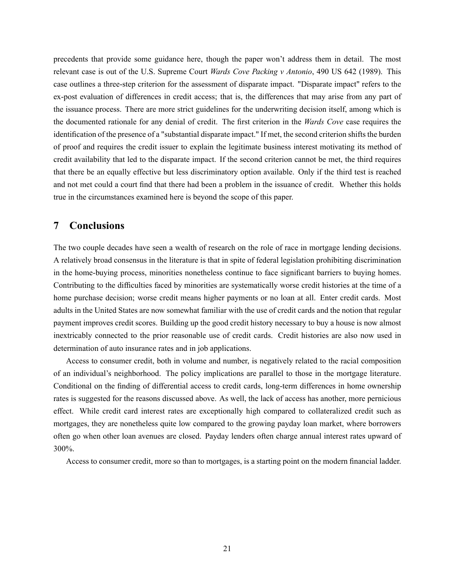precedents that provide some guidance here, though the paper won't address them in detail. The most relevant case is out of the U.S. Supreme Court Wards Cove Packing v Antonio, 490 US 642 (1989). This case outlines a three-step criterion for the assessment of disparate impact. "Disparate impact" refers to the ex-post evaluation of differences in credit access; that is, the differences that may arise from any part of the issuance process. There are more strict guidelines for the underwriting decision itself, among which is the documented rationale for any denial of credit. The first criterion in the Wards Cove case requires the identification of the presence of a "substantial disparate impact." If met, the second criterion shifts the burden of proof and requires the credit issuer to explain the legitimate business interest motivating its method of credit availability that led to the disparate impact. If the second criterion cannot be met, the third requires that there be an equally effective but less discriminatory option available. Only if the third test is reached and not met could a court find that there had been a problem in the issuance of credit. Whether this holds true in the circumstances examined here is beyond the scope of this paper.

# 7 Conclusions

The two couple decades have seen a wealth of research on the role of race in mortgage lending decisions. A relatively broad consensus in the literature is that in spite of federal legislation prohibiting discrimination in the home-buying process, minorities nonetheless continue to face significant barriers to buying homes. Contributing to the difficulties faced by minorities are systematically worse credit histories at the time of a home purchase decision; worse credit means higher payments or no loan at all. Enter credit cards. Most adults in the United States are now somewhat familiar with the use of credit cards and the notion that regular payment improves credit scores. Building up the good credit history necessary to buy a house is now almost inextricably connected to the prior reasonable use of credit cards. Credit histories are also now used in determination of auto insurance rates and in job applications.

Access to consumer credit, both in volume and number, is negatively related to the racial composition of an individual's neighborhood. The policy implications are parallel to those in the mortgage literature. Conditional on the finding of differential access to credit cards, long-term differences in home ownership rates is suggested for the reasons discussed above. As well, the lack of access has another, more pernicious effect. While credit card interest rates are exceptionally high compared to collateralized credit such as mortgages, they are nonetheless quite low compared to the growing payday loan market, where borrowers often go when other loan avenues are closed. Payday lenders often charge annual interest rates upward of 300%.

Access to consumer credit, more so than to mortgages, is a starting point on the modern financial ladder.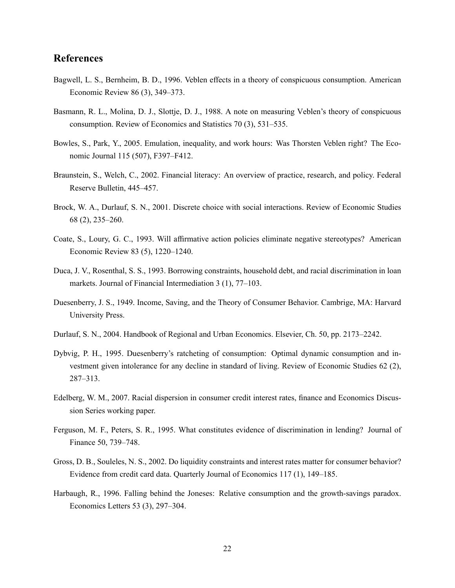# References

- Bagwell, L. S., Bernheim, B. D., 1996. Veblen effects in a theory of conspicuous consumption. American Economic Review  $86(3)$ ,  $349-373$ .
- Basmann, R. L., Molina, D. J., Slottje, D. J., 1988. A note on measuring Veblen's theory of conspicuous consumption. Review of Economics and Statistics  $70(3)$ ,  $531-535$ .
- Bowles, S., Park, Y., 2005. Emulation, inequality, and work hours: Was Thorsten Veblen right? The Economic Journal 115 (507), F397-F412.
- Braunstein, S., Welch, C., 2002. Financial literacy: An overview of practice, research, and policy. Federal Reserve Bulletin, 445-457.
- Brock, W. A., Durlauf, S. N., 2001. Discrete choice with social interactions. Review of Economic Studies 68 (2), 235–260.
- Coate, S., Loury, G. C., 1993. Will affirmative action policies eliminate negative stereotypes? American Economic Review 83 (5), 1220–1240.
- Duca, J. V., Rosenthal, S. S., 1993. Borrowing constraints, household debt, and racial discrimination in loan markets. Journal of Financial Intermediation  $3(1)$ ,  $77-103$ .
- Duesenberry, J. S., 1949. Income, Saving, and the Theory of Consumer Behavior. Cambrige, MA: Harvard University Press.
- Durlauf, S. N., 2004. Handbook of Regional and Urban Economics. Elsevier, Ch. 50, pp. 2173–2242.
- Dybvig, P. H., 1995. Duesenberry's ratcheting of consumption: Optimal dynamic consumption and investment given intolerance for any decline in standard of living. Review of Economic Studies 62 (2), 287-313.
- Edelberg, W. M., 2007. Racial dispersion in consumer credit interest rates, finance and Economics Discussion Series working paper.
- Ferguson, M. F., Peters, S. R., 1995. What constitutes evidence of discrimination in lending? Journal of Finance 50, 739-748.
- Gross, D. B., Souleles, N. S., 2002. Do liquidity constraints and interest rates matter for consumer behavior? Evidence from credit card data. Quarterly Journal of Economics 117 (1), 149–185.
- Harbaugh, R., 1996. Falling behind the Joneses: Relative consumption and the growth-savings paradox. Economics Letters  $53$   $(3)$ ,  $297-304$ .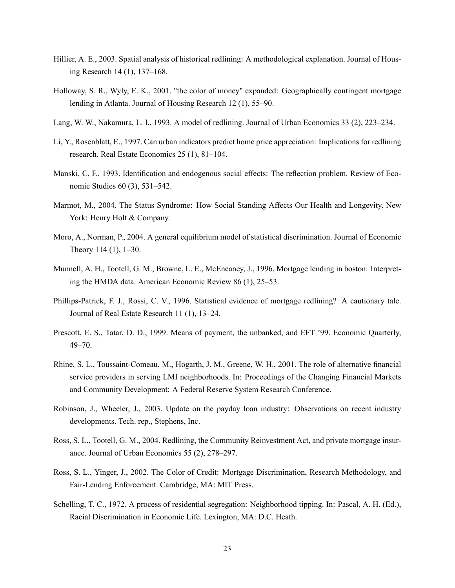- Hillier, A. E., 2003. Spatial analysis of historical redlining: A methodological explanation. Journal of Housing Research  $14(1)$ ,  $137–168$ .
- Holloway, S. R., Wyly, E. K., 2001. "the color of money" expanded: Geographically contingent mortgage lending in Atlanta. Journal of Housing Research  $12(1)$ , 55–90.
- Lang, W. W., Nakamura, L. I., 1993. A model of redlining. Journal of Urban Economics 33 (2), 223–234.
- Li, Y., Rosenblatt, E., 1997. Can urban indicators predict home price appreciation: Implications for redlining research. Real Estate Economics  $25(1)$ ,  $81-104$ .
- Manski, C. F., 1993. Identification and endogenous social effects: The reflection problem. Review of Economic Studies  $60(3)$ ,  $531-542$ .
- Marmot, M., 2004. The Status Syndrome: How Social Standing Affects Our Health and Longevity. New York: Henry Holt & Company.
- Moro, A., Norman, P., 2004. A general equilibrium model of statistical discrimination. Journal of Economic Theory  $114(1)$ ,  $1-30$ .
- Munnell, A. H., Tootell, G. M., Browne, L. E., McEneaney, J., 1996. Mortgage lending in boston: Interpreting the HMDA data. American Economic Review  $86(1)$ ,  $25-53$ .
- Phillips-Patrick, F. J., Rossi, C. V., 1996. Statistical evidence of mortgage redlining? A cautionary tale. Journal of Real Estate Research 11 (1), 13–24.
- Prescott, E. S., Tatar, D. D., 1999. Means of payment, the unbanked, and EFT '99. Economic Quarterly,  $49 - 70$ .
- Rhine, S. L., Toussaint-Comeau, M., Hogarth, J. M., Greene, W. H., 2001. The role of alternative financial service providers in serving LMI neighborhoods. In: Proceedings of the Changing Financial Markets and Community Development: A Federal Reserve System Research Conference.
- Robinson, J., Wheeler, J., 2003. Update on the payday loan industry: Observations on recent industry developments. Tech. rep., Stephens, Inc.
- Ross, S. L., Tootell, G. M., 2004. Redlining, the Community Reinvestment Act, and private mortgage insurance. Journal of Urban Economics  $55(2)$ ,  $278-297$ .
- Ross, S. L., Yinger, J., 2002. The Color of Credit: Mortgage Discrimination, Research Methodology, and Fair-Lending Enforcement. Cambridge, MA: MIT Press.
- Schelling, T. C., 1972. A process of residential segregation: Neighborhood tipping. In: Pascal, A. H. (Ed.), Racial Discrimination in Economic Life. Lexington, MA: D.C. Heath.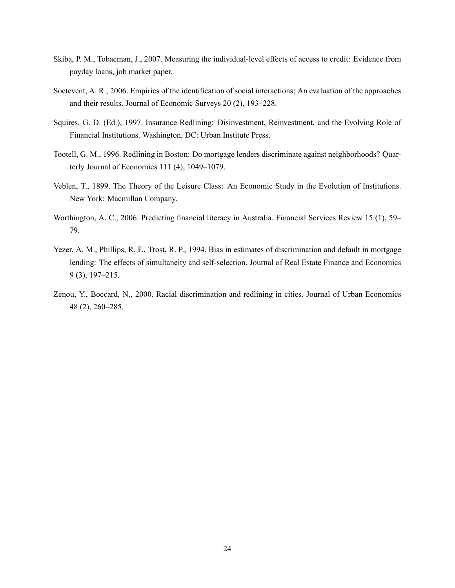- Skiba, P. M., Tobacman, J., 2007. Measuring the individual-level effects of access to credit: Evidence from payday loans, job market paper.
- Soetevent, A. R., 2006. Empirics of the identification of social interactions; An evaluation of the approaches and their results. Journal of Economic Surveys 20 (2), 193-228.
- Squires, G. D. (Ed.), 1997. Insurance Redlining: Disinvestment, Reinvestment, and the Evolving Role of Financial Institutions. Washington, DC: Urban Institute Press.
- Tootell, G. M., 1996. Redlining in Boston: Do mortgage lenders discriminate against neighborhoods? Quarterly Journal of Economics  $111(4)$ ,  $1049-1079$ .
- Veblen, T., 1899. The Theory of the Leisure Class: An Economic Study in the Evolution of Institutions. New York: Macmillan Company.
- Worthington, A. C., 2006. Predicting financial literacy in Australia. Financial Services Review 15 (1), 59– 79.
- Yezer, A. M., Phillips, R. F., Trost, R. P., 1994. Bias in estimates of discrimination and default in mortgage lending: The effects of simultaneity and self-selection. Journal of Real Estate Finance and Economics  $9(3)$ , 197–215.
- Zenou, Y., Boccard, N., 2000. Racial discrimination and redlining in cities. Journal of Urban Economics 48 (2), 260–285.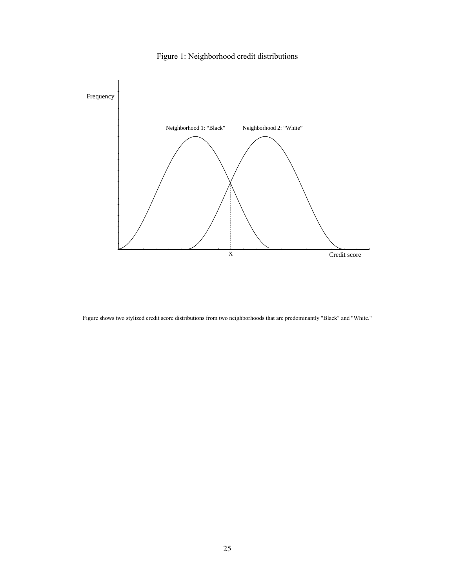

Figure 1: Neighborhood credit distributions

Figure shows two stylized credit score distributions from two neighborhoods that are predominantly "Black" and "White."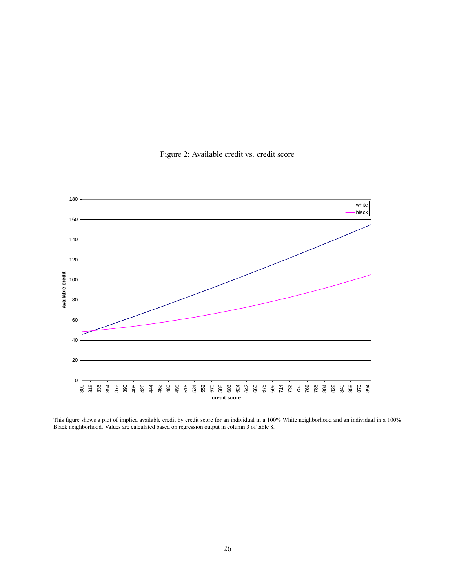

Figure 2: Available credit vs. credit score

This figure shows a plot of implied available credit by credit score for an individual in a 100% White neighborhood and an individual in a 100% Black neighborhood. Values are calculated based on regression output in column 3 of table 8.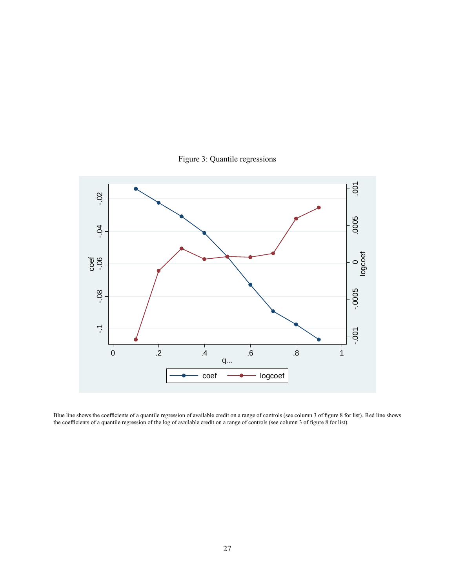



Blue line shows the coefficients of a quantile regression of available credit on a range of controls (see column 3 of figure 8 for list). Red line shows the coefficients of a quantile regression of the log of available credit on a range of controls (see column 3 of figure 8 for list).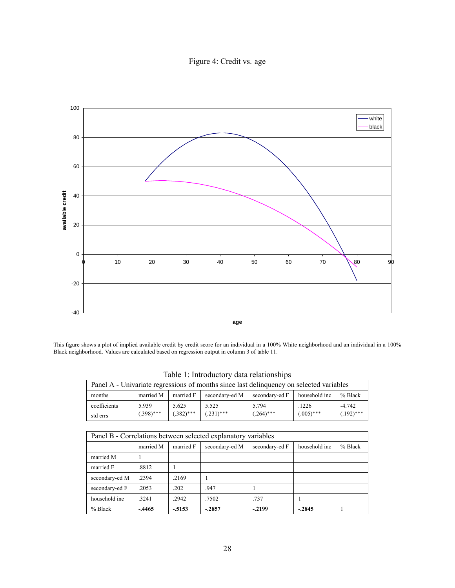Figure 4: Credit vs. age



This figure shows a plot of implied available credit by credit score for an individual in a 100% White neighborhood and an individual in a 100% Black neighborhood. Values are calculated based on regression output in column 3 of table 11.

| Panel A - Univariate regressions of months since last delinquency on selected variables |                                                                                        |              |              |              |              |              |  |  |  |
|-----------------------------------------------------------------------------------------|----------------------------------------------------------------------------------------|--------------|--------------|--------------|--------------|--------------|--|--|--|
| months                                                                                  | % Black<br>secondary-ed M<br>married F<br>household inc<br>married M<br>secondary-ed F |              |              |              |              |              |  |  |  |
| coefficients                                                                            | 5.939                                                                                  | 5.625        | 5.525        | 5.794        | .1226        | $-4.742$     |  |  |  |
| std errs                                                                                | $(.398)$ ***                                                                           | $(.382)$ *** | $(.231)$ *** | $(.264)$ *** | $(.005)$ *** | $(.192)$ *** |  |  |  |

Table 1: Introductory data relationships

| Panel B - Correlations between selected explanatory variables |           |           |                |                |               |           |  |  |  |
|---------------------------------------------------------------|-----------|-----------|----------------|----------------|---------------|-----------|--|--|--|
|                                                               | married M | married F | secondary-ed M | secondary-ed F | household inc | $%$ Black |  |  |  |
| married M                                                     |           |           |                |                |               |           |  |  |  |
| married F                                                     | .8812     |           |                |                |               |           |  |  |  |
| secondary-ed M                                                | .2394     | .2169     |                |                |               |           |  |  |  |
| secondary-ed F                                                | .2053     | .202      | .947           |                |               |           |  |  |  |
| household inc                                                 | .3241     | .2942     | .7502          | .737           |               |           |  |  |  |
| $%$ Black                                                     | $-.4465$  | $-5153$   | $-.2857$       | $-2199$        | $-.2845$      |           |  |  |  |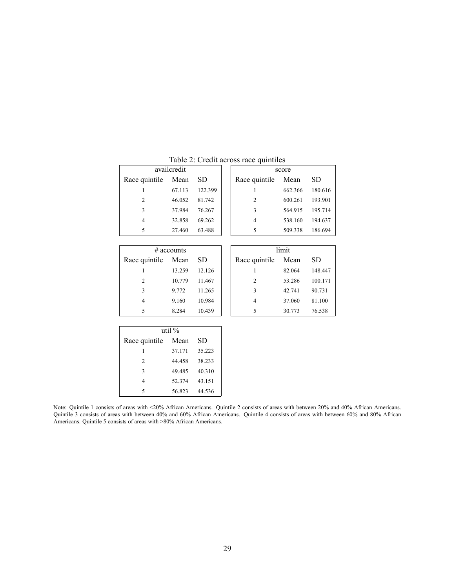|               | availcredit |         |  | score          |         |         |  |  |
|---------------|-------------|---------|--|----------------|---------|---------|--|--|
| Race quintile | Mean        | SD.     |  | Race quintile  | Mean    | SD.     |  |  |
|               | 67.113      | 122.399 |  |                | 662.366 | 180.616 |  |  |
| 2             | 46.052      | 81.742  |  | $\overline{c}$ | 600.261 | 193.901 |  |  |
| 3             | 37.984      | 76.267  |  | 3              | 564.915 | 195.714 |  |  |
| 4             | 32.858      | 69.262  |  | 4              | 538.160 | 194.637 |  |  |
| 5             | 27.460      | 63.488  |  | 5              | 509.338 | 186.694 |  |  |
|               |             |         |  |                |         |         |  |  |

Table 2: Credit across race quintiles

| $\#$ accounts      |        |        |  |  |  |  |  |  |
|--------------------|--------|--------|--|--|--|--|--|--|
| Race quintile Mean |        | SD     |  |  |  |  |  |  |
|                    | 13.259 | 12.126 |  |  |  |  |  |  |
| 2                  | 10.779 | 11.467 |  |  |  |  |  |  |
| 3                  | 9.772  | 11.265 |  |  |  |  |  |  |
| 4                  | 9.160  | 10.984 |  |  |  |  |  |  |
| 5                  | 8.284  | 10.439 |  |  |  |  |  |  |

| Race quintile  | Mean   | SD.    | Race quintile | Mean   | SD      |
|----------------|--------|--------|---------------|--------|---------|
|                | 13.259 | 12.126 |               | 82.064 | 148.447 |
| $\overline{2}$ | 10.779 | 11.467 | 2             | 53.286 | 100.171 |
| 3              | 9.772  | 11.265 | 3             | 42.741 | 90.731  |
| 4              | 9.160  | 10.984 | 4             | 37.060 | 81.100  |
| 5              | 8.284  | 10.439 |               | 30.773 | 76.538  |
|                |        |        |               |        |         |

limit

| util $%$           |        |        |  |  |  |  |  |
|--------------------|--------|--------|--|--|--|--|--|
| Race quintile Mean |        | SD     |  |  |  |  |  |
|                    | 37.171 | 35.223 |  |  |  |  |  |
| $\mathfrak{D}$     | 44 458 | 38.233 |  |  |  |  |  |
| 3                  | 49.485 | 40.310 |  |  |  |  |  |
|                    | 52.374 | 43.151 |  |  |  |  |  |
| 5                  | 56.823 | 44.536 |  |  |  |  |  |

Note: Quintile 1 consists of areas with <20% African Americans. Quintile 2 consists of areas with between 20% and 40% African Americans. Quintile 3 consists of areas with between 40% and 60% African Americans. Quintile 4 consists of areas with between 60% and 80% African Americans. Quintile 5 consists of areas with >80% African Americans.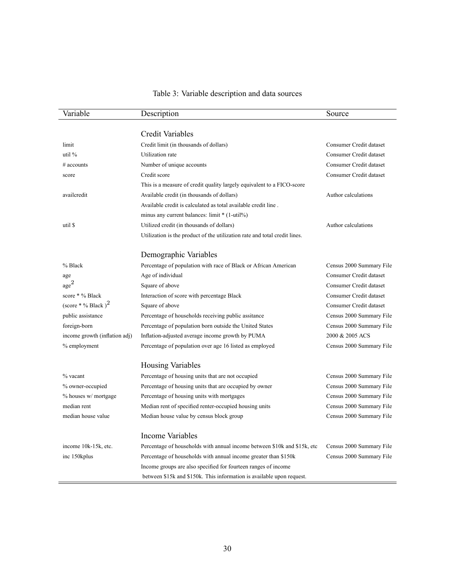| Variable                         | Description                                                                | Source                   |
|----------------------------------|----------------------------------------------------------------------------|--------------------------|
|                                  | Credit Variables                                                           |                          |
| limit                            | Credit limit (in thousands of dollars)                                     | Consumer Credit dataset  |
| util $%$                         | Utilization rate                                                           | Consumer Credit dataset  |
| $#$ accounts                     | Number of unique accounts                                                  | Consumer Credit dataset  |
| score                            | Credit score                                                               | Consumer Credit dataset  |
|                                  | This is a measure of credit quality largely equivalent to a FICO-score     |                          |
| availcredit                      | Available credit (in thousands of dollars)                                 | Author calculations      |
|                                  | Available credit is calculated as total available credit line.             |                          |
|                                  | minus any current balances: limit * (1-util%)                              |                          |
| util \$                          | Utilized credit (in thousands of dollars)                                  | Author calculations      |
|                                  | Utilization is the product of the utilization rate and total credit lines. |                          |
|                                  | Demographic Variables                                                      |                          |
| % Black                          | Percentage of population with race of Black or African American            | Census 2000 Summary File |
| age                              | Age of individual                                                          | Consumer Credit dataset  |
| $_{\rm age}^2$                   | Square of above                                                            | Consumer Credit dataset  |
| score * % Black                  | Interaction of score with percentage Black                                 | Consumer Credit dataset  |
| (score $*$ % Black) <sup>2</sup> | Square of above                                                            | Consumer Credit dataset  |
| public assistance                | Percentage of households receiving public assitance                        | Census 2000 Summary File |
| foreign-born                     | Percentage of population born outside the United States                    | Census 2000 Summary File |
| income growth (inflation adj)    | Inflation-adjusted average income growth by PUMA                           | 2000 & 2005 ACS          |
| % employment                     | Percentage of population over age 16 listed as employed                    | Census 2000 Summary File |
|                                  | <b>Housing Variables</b>                                                   |                          |
| $%$ vacant                       | Percentage of housing units that are not occupied                          | Census 2000 Summary File |
| % owner-occupied                 | Percentage of housing units that are occupied by owner                     | Census 2000 Summary File |
| % houses w/ mortgage             | Percentage of housing units with mortgages                                 | Census 2000 Summary File |
| median rent                      | Median rent of specified renter-occupied housing units                     | Census 2000 Summary File |
| median house value               | Median house value by census block group                                   | Census 2000 Summary File |
|                                  | <b>Income Variables</b>                                                    |                          |
| income 10k-15k, etc.             | Percentage of households with annual income between \$10k and \$15k, etc.  | Census 2000 Summary File |
| inc 150kplus                     | Percentage of households with annual income greater than \$150k            | Census 2000 Summary File |
|                                  | Income groups are also specified for fourteen ranges of income             |                          |
|                                  | between \$15k and \$150k. This information is available upon request.      |                          |

# Table 3: Variable description and data sources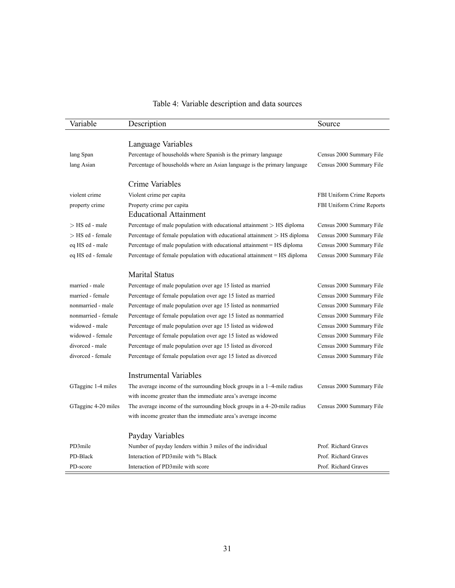| Variable            | Description                                                              | Source                    |
|---------------------|--------------------------------------------------------------------------|---------------------------|
|                     |                                                                          |                           |
|                     | Language Variables                                                       |                           |
| lang Span           | Percentage of households where Spanish is the primary language           | Census 2000 Summary File  |
| lang Asian          | Percentage of households where an Asian language is the primary language | Census 2000 Summary File  |
|                     | Crime Variables                                                          |                           |
| violent crime       | Violent crime per capita                                                 | FBI Uniform Crime Reports |
| property crime      | Property crime per capita                                                | FBI Uniform Crime Reports |
|                     | <b>Educational Attainment</b>                                            |                           |
| > HS ed - male      | Percentage of male population with educational attainment $>$ HS diploma | Census 2000 Summary File  |
| > HS ed - female    | Percentage of female population with educational attainment > HS diploma | Census 2000 Summary File  |
| eq HS ed - male     | Percentage of male population with educational attainment = HS diploma   | Census 2000 Summary File  |
| eq HS ed - female   | Percentage of female population with educational attainment = HS diploma | Census 2000 Summary File  |
|                     |                                                                          |                           |
|                     | <b>Marital Status</b>                                                    |                           |
| married - male      | Percentage of male population over age 15 listed as married              | Census 2000 Summary File  |
| married - female    | Percentage of female population over age 15 listed as married            | Census 2000 Summary File  |
| nonmarried - male   | Percentage of male population over age 15 listed as nonmarried           | Census 2000 Summary File  |
| nonmarried - female | Percentage of female population over age 15 listed as nonmarried         | Census 2000 Summary File  |
| widowed - male      | Percentage of male population over age 15 listed as widowed              | Census 2000 Summary File  |
| widowed - female    | Percentage of female population over age 15 listed as widowed            | Census 2000 Summary File  |
| divorced - male     | Percentage of male population over age 15 listed as divorced             | Census 2000 Summary File  |
| divorced - female   | Percentage of female population over age 15 listed as divorced           | Census 2000 Summary File  |
|                     | <b>Instrumental Variables</b>                                            |                           |
| GTagginc 1-4 miles  | The average income of the surrounding block groups in a 1-4-mile radius  | Census 2000 Summary File  |
|                     | with income greater than the immediate area's average income             |                           |
|                     |                                                                          |                           |
| GTagginc 4-20 miles | The average income of the surrounding block groups in a 4-20-mile radius | Census 2000 Summary File  |
|                     | with income greater than the immediate area's average income             |                           |
|                     | Payday Variables                                                         |                           |
| PD3mile             | Number of payday lenders within 3 miles of the individual                | Prof. Richard Graves      |
| PD-Black            | Interaction of PD3mile with % Black                                      | Prof. Richard Graves      |
| PD-score            | Interaction of PD3mile with score                                        | Prof. Richard Graves      |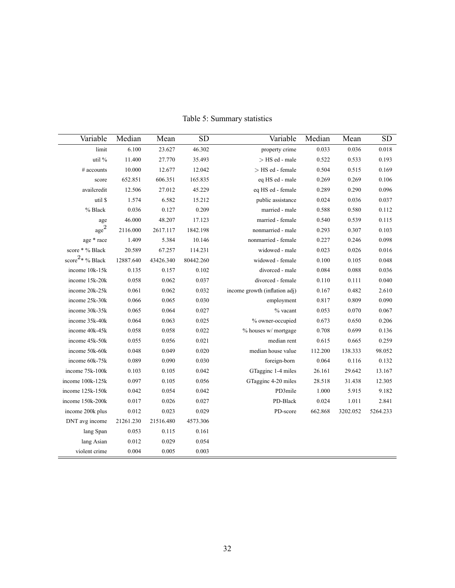| Variable                    | Median    | Mean      | <b>SD</b> | Variable                      | Median  | Mean     | <b>SD</b> |
|-----------------------------|-----------|-----------|-----------|-------------------------------|---------|----------|-----------|
| limit                       | 6.100     | 23.627    | 46.302    | property crime                | 0.033   | 0.036    | 0.018     |
| util %                      | 11.400    | 27.770    | 35.493    | $>$ HS ed - male              | 0.522   | 0.533    | 0.193     |
| $#$ accounts                | 10.000    | 12.677    | 12.042    | > HS ed - female              | 0.504   | 0.515    | 0.169     |
| score                       | 652.851   | 606.351   | 165.835   | eq HS ed - male               | 0.269   | 0.269    | 0.106     |
| availcredit                 | 12.506    | 27.012    | 45.229    | eq HS ed - female             | 0.289   | 0.290    | 0.096     |
| util \$                     | 1.574     | 6.582     | 15.212    | public assistance             | 0.024   | 0.036    | 0.037     |
| % Black                     | 0.036     | 0.127     | 0.209     | married - male                | 0.588   | 0.580    | 0.112     |
| age                         | 46.000    | 48.207    | 17.123    | married - female              | 0.540   | 0.539    | 0.115     |
| $_{\rm age}^2$              | 2116.000  | 2617.117  | 1842.198  | nonmarried - male             | 0.293   | 0.307    | 0.103     |
| age * race                  | 1.409     | 5.384     | 10.146    | nonmarried - female           | 0.227   | 0.246    | 0.098     |
| score * % Black             | 20.589    | 67.257    | 114.231   | widowed - male                | 0.023   | 0.026    | 0.016     |
| score <sup>2*</sup> % Black | 12887.640 | 43426.340 | 80442.260 | widowed - female              | 0.100   | 0.105    | 0.048     |
| income 10k-15k              | 0.135     | 0.157     | 0.102     | divorced - male               | 0.084   | 0.088    | 0.036     |
| income 15k-20k              | 0.058     | 0.062     | 0.037     | divorced - female             | 0.110   | 0.111    | 0.040     |
| income 20k-25k              | 0.061     | 0.062     | 0.032     | income growth (inflation adj) | 0.167   | 0.482    | 2.610     |
| income 25k-30k              | 0.066     | 0.065     | 0.030     | employment                    | 0.817   | 0.809    | 0.090     |
| income 30k-35k              | 0.065     | 0.064     | 0.027     | % vacant                      | 0.053   | 0.070    | 0.067     |
| income 35k-40k              | 0.064     | 0.063     | 0.025     | % owner-occupied              | 0.673   | 0.650    | 0.206     |
| income 40k-45k              | 0.058     | 0.058     | 0.022     | % houses w/ mortgage          | 0.708   | 0.699    | 0.136     |
| income 45k-50k              | 0.055     | 0.056     | 0.021     | median rent                   | 0.615   | 0.665    | 0.259     |
| income 50k-60k              | 0.048     | 0.049     | 0.020     | median house value            | 112.200 | 138.333  | 98.052    |
| income 60k-75k              | 0.089     | 0.090     | 0.030     | foreign-born                  | 0.064   | 0.116    | 0.132     |
| income 75k-100k             | 0.103     | 0.105     | 0.042     | GTagginc 1-4 miles            | 26.161  | 29.642   | 13.167    |
| income 100k-125k            | 0.097     | 0.105     | 0.056     | GTagginc 4-20 miles           | 28.518  | 31.438   | 12.305    |
| income 125k-150k            | 0.042     | 0.054     | 0.042     | PD3mile                       | 1.000   | 5.915    | 9.182     |
| income 150k-200k            | 0.017     | 0.026     | 0.027     | PD-Black                      | 0.024   | 1.011    | 2.841     |
| income 200k plus            | 0.012     | 0.023     | 0.029     | PD-score                      | 662.868 | 3202.052 | 5264.233  |
| DNT avg income              | 21261.230 | 21516.480 | 4573.306  |                               |         |          |           |
| lang Span                   | 0.053     | 0.115     | 0.161     |                               |         |          |           |
| lang Asian                  | 0.012     | 0.029     | 0.054     |                               |         |          |           |
| violent crime               | 0.004     | 0.005     | 0.003     |                               |         |          |           |

Table 5: Summary statistics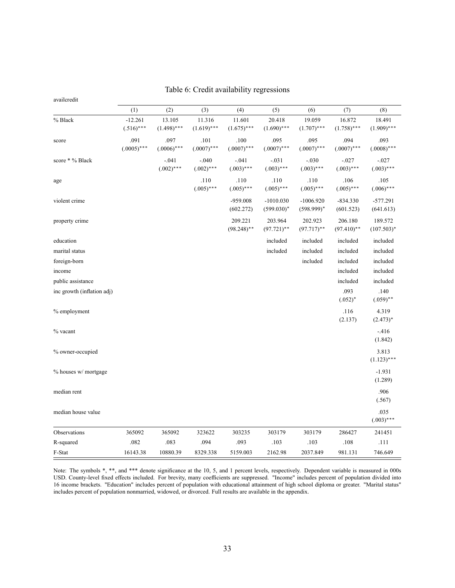| availcredit                |                           |                         |                         |                          |                              |                              |                          |                          |  |  |
|----------------------------|---------------------------|-------------------------|-------------------------|--------------------------|------------------------------|------------------------------|--------------------------|--------------------------|--|--|
|                            | (1)                       | (2)                     | (3)                     | (4)                      | (5)                          | (6)                          | (7)                      | (8)                      |  |  |
| % Black                    | $-12.261$<br>$(.516)$ *** | 13.105<br>$(1.498)$ *** | 11.316<br>$(1.619)$ *** | 11.601<br>$(1.675)$ ***  | 20.418<br>$(1.690)$ ***      | 19.059<br>$(1.707)$ ***      | 16.872<br>$(1.758)$ ***  | 18.491<br>$(1.909)$ ***  |  |  |
| score                      | .091<br>$(.0005)$ ***     | .097<br>$(.0006)$ ***   | .101<br>$(.0007)$ ***   | .100<br>$(.0007)$ ***    | .095<br>$(.0007)$ ***        | .095<br>$(.0007)$ ***        | .094<br>$(.0007)$ ***    | .093<br>$(.0008)$ ***    |  |  |
| score * % Black            |                           | $-.041$<br>$(.002)$ *** | $-.040$<br>$(.002)$ *** | $-.041$<br>$(.003)$ ***  | $-.031$<br>$(.003)$ ***      | $-.030$<br>$(.003)$ ***      | $-.027$<br>$(.003)$ ***  | $-.027$<br>$(.003)$ ***  |  |  |
| age                        |                           |                         | .110<br>$(.005)$ ***    | .110<br>$(.005)$ ***     | .110<br>$(.005)$ ***         | .110<br>$(.005)$ ***         | .106<br>$(.005)$ ***     | .105<br>$(.006)$ ***     |  |  |
| violent crime              |                           |                         |                         | -959.008<br>(602.272)    | $-1010.030$<br>$(599.030)^*$ | $-1006.920$<br>$(598.999)^*$ | $-834.330$<br>(601.523)  | $-577.291$<br>(641.613)  |  |  |
| property crime             |                           |                         |                         | 209.221<br>$(98.248)$ ** | 203.964<br>$(97.721)$ **     | 202.923<br>$(97.717)$ **     | 206.180<br>$(97.410)$ ** | 189.572<br>$(107.503)^*$ |  |  |
| education                  |                           |                         |                         |                          | included                     | included                     | included                 | included                 |  |  |
| marital status             |                           |                         |                         |                          | included                     | included                     | included                 | included                 |  |  |
| foreign-born               |                           |                         |                         |                          |                              | included                     | included                 | included                 |  |  |
| income                     |                           |                         |                         |                          |                              |                              | included                 | included                 |  |  |
| public assistance          |                           |                         |                         |                          |                              |                              | included                 | included                 |  |  |
| inc growth (inflation adj) |                           |                         |                         |                          |                              |                              | .093<br>$(.052)^*$       | .140<br>$(.059)$ **      |  |  |
| % employment               |                           |                         |                         |                          |                              |                              | .116<br>(2.137)          | 4.319<br>$(2.473)^*$     |  |  |
| % vacant                   |                           |                         |                         |                          |                              |                              |                          | $-416$<br>(1.842)        |  |  |
| % owner-occupied           |                           |                         |                         |                          |                              |                              |                          | 3.813<br>$(1.123)$ ***   |  |  |
| % houses w/ mortgage       |                           |                         |                         |                          |                              |                              |                          | $-1.931$<br>(1.289)      |  |  |
| median rent                |                           |                         |                         |                          |                              |                              |                          | .906<br>(.567)           |  |  |
| median house value         |                           |                         |                         |                          |                              |                              |                          | .035<br>$(.003)$ ***     |  |  |
| Observations               | 365092                    | 365092                  | 323622                  | 303235                   | 303179                       | 303179                       | 286427                   | 241451                   |  |  |
| R-squared                  | .082                      | .083                    | .094                    | .093                     | .103                         | .103                         | .108                     | .111                     |  |  |
| F-Stat                     | 16143.38                  | 10880.39                | 8329.338                | 5159.003                 | 2162.98                      | 2037.849                     | 981.131                  | 746.649                  |  |  |

Table 6: Credit availability regressions

Note: The symbols \*, \*\*, and \*\*\* denote significance at the 10, 5, and 1 percent levels, respectively. Dependent variable is measured in 000s USD. County-level fixed effects included. For brevity, many coefficients are suppressed. "Income" includes percent of population divided into 16 income brackets. "Education" includes percent of population with educational attainment of high school diploma or greater. "Marital status" includes percent of population nonmarried, widowed, or divorced. Full results are available in the appendix.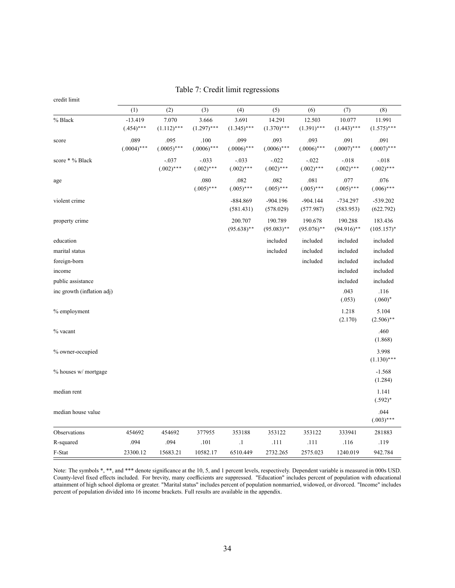Table 7: Credit limit regressions

| credit limit               |                           |                         |                         |                          |                          |                          |                          |                          |
|----------------------------|---------------------------|-------------------------|-------------------------|--------------------------|--------------------------|--------------------------|--------------------------|--------------------------|
|                            | (1)                       | (2)                     | (3)                     | (4)                      | (5)                      | (6)                      | (7)                      | (8)                      |
| % Black                    | $-13.419$<br>$(.454)$ *** | 7.070<br>$(1.112)$ ***  | 3.666<br>$(1.297)$ ***  | 3.691<br>$(1.345)$ ***   | 14.291<br>$(1.370)$ ***  | 12.503<br>$(1.391)$ ***  | 10.077<br>$(1.443)$ ***  | 11.991<br>$(1.575)$ ***  |
| score                      | .089<br>$(.0004)$ ***     | .095<br>$(.0005)$ ***   | .100<br>$(.0006)$ ***   | .099<br>$(.0006)$ ***    | .093<br>$(.0006)$ ***    | .093<br>$(.0006)$ ***    | .091<br>$(.0007)$ ***    | .091<br>$(.0007)$ ***    |
| score * % Black            |                           | $-.037$<br>$(.002)$ *** | $-.033$<br>$(.002)$ *** | $-.033$<br>$(.002)$ ***  | $-.022$<br>$(.002)$ ***  | $-.022$<br>$(.002)$ ***  | $-.018$<br>$(.002)$ ***  | $-.018$<br>$(.002)$ ***  |
| age                        |                           |                         | .080<br>$(.005)$ ***    | .082<br>$(.005)$ ***     | .082<br>$(.005)$ ***     | .081<br>$(.005)$ ***     | .077<br>$(.005)$ ***     | .076<br>$(.006)$ ***     |
| violent crime              |                           |                         |                         | $-884.869$<br>(581.431)  | $-904.196$<br>(578.029)  | $-904.144$<br>(577.987)  | $-734.297$<br>(583.953)  | $-539.202$<br>(622.792)  |
| property crime             |                           |                         |                         | 200.707<br>$(95.638)$ ** | 190.789<br>$(95.083)$ ** | 190.678<br>$(95.076)$ ** | 190.288<br>$(94.916)$ ** | 183.436<br>$(105.157)^*$ |
| education                  |                           |                         |                         |                          | included                 | included                 | included                 | included                 |
| marital status             |                           |                         |                         |                          | included                 | included                 | included                 | included                 |
| foreign-born               |                           |                         |                         |                          |                          | included                 | included                 | included                 |
| income                     |                           |                         |                         |                          |                          |                          | included                 | included                 |
| public assistance          |                           |                         |                         |                          |                          |                          | included                 | included                 |
| inc growth (inflation adj) |                           |                         |                         |                          |                          |                          | .043<br>(.053)           | .116<br>$(.060)^*$       |
| % employment               |                           |                         |                         |                          |                          |                          | 1.218<br>(2.170)         | 5.104<br>$(2.506)$ **    |
| % vacant                   |                           |                         |                         |                          |                          |                          |                          | .460<br>(1.868)          |
| % owner-occupied           |                           |                         |                         |                          |                          |                          |                          | 3.998<br>$(1.130)$ ***   |
| % houses w/ mortgage       |                           |                         |                         |                          |                          |                          |                          | $-1.568$<br>(1.284)      |
| median rent                |                           |                         |                         |                          |                          |                          |                          | 1.141<br>$(.592)^*$      |
| median house value         |                           |                         |                         |                          |                          |                          |                          | .044<br>$(.003)$ ***     |
| Observations               | 454692                    | 454692                  | 377955                  | 353188                   | 353122                   | 353122                   | 333941                   | 281883                   |
| R-squared                  | .094                      | .094                    | .101                    | $\cdot$                  | .111                     | .111                     | .116                     | .119                     |
| F-Stat                     | 23300.12                  | 15683.21                | 10582.17                | 6510.449                 | 2732.265                 | 2575.023                 | 1240.019                 | 942.784                  |

Note: The symbols \*, \*\*, and \*\*\* denote significance at the 10, 5, and 1 percent levels, respectively. Dependent variable is measured in 000s USD. County-level fixed effects included. For brevity, many coefficients are suppressed. "Education" includes percent of population with educational attainment of high school diploma or greater. "Marital status" includes percent of population nonmarried, widowed, or divorced. "Income" includes percent of population divided into 16 income brackets. Full results are available in the appendix.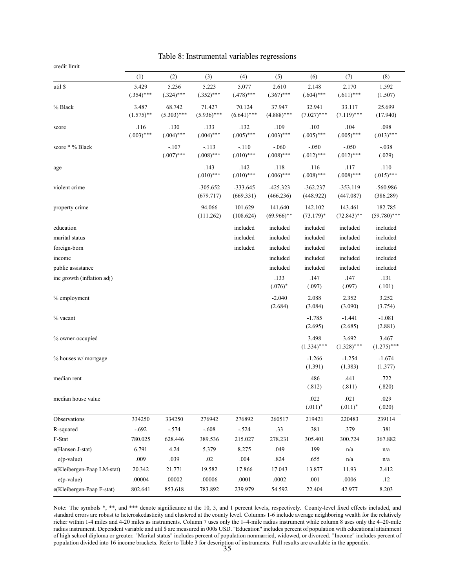Table 8: Instrumental variables regressions

| credit limit |  |
|--------------|--|
|              |  |
|              |  |

|                            | (1)          | (2)           | (3)           | (4)           | (5)           | (6)           | (7)           | (8)            |
|----------------------------|--------------|---------------|---------------|---------------|---------------|---------------|---------------|----------------|
| util \$                    | 5.429        | 5.236         | 5.223         | 5.077         | 2.610         | 2.148         | 2.170         | 1.592          |
|                            | $(.354)$ *** | $(.324)$ ***  | $(.352)$ ***  | $(.478)$ ***  | $(.367)$ ***  | $(.604)$ ***  | $(.611)$ ***  | (1.507)        |
| % Black                    | 3.487        | 68.742        | 71.427        | 70.124        | 37.947        | 32.941        | 33.117        | 25.699         |
|                            | $(1.575)$ ** | $(5.303)$ *** | $(5.936)$ *** | $(6.641)$ *** | $(4.888)$ *** | $(7.027)$ *** | $(7.119)$ *** | (17.940)       |
| score                      | .116         | .130          | .133          | .132          | .109          | .103          | .104          | .098           |
|                            | $(.003)$ *** | $(.004)$ ***  | $(.004)$ ***  | $(.005)$ ***  | $(.003)$ ***  | $(.005)$ ***  | $(.005)$ ***  | $(.013)$ ***   |
| score * % Black            |              | $-.107$       | $-.113$       | $-.110$       | $-.060$       | $-.050$       | $-.050$       | $-.038$        |
|                            |              | $(.007)$ ***  | $(.008)$ ***  | $(.010)$ ***  | $(.008)$ ***  | $(.012)$ ***  | $(.012)$ ***  | (.029)         |
| age                        |              |               | .143          | .142          | .118          | .116          | .117          | .110           |
|                            |              |               | $(.010)$ ***  | $(.010)$ ***  | $(.006)$ ***  | $(.008)$ ***  | $(.008)$ ***  | $(.015)$ ***   |
| violent crime              |              |               | $-305.652$    | $-333.645$    | $-425.323$    | $-362.237$    | $-353.119$    | $-560.986$     |
|                            |              |               | (679.717)     | (669.331)     | (466.236)     | (448.922)     | (447.087)     | (386.289)      |
| property crime             |              |               | 94.066        | 101.629       | 141.640       | 142.102       | 143.461       | 182.785        |
|                            |              |               | (111.262)     | (108.624)     | $(69.966)$ ** | $(73.179)^*$  | $(72.843)$ ** | $(59.780)$ *** |
| education                  |              |               |               | included      | included      | included      | included      | included       |
| marital status             |              |               |               | included      | included      | included      | included      | included       |
| foreign-born               |              |               |               | included      | included      | included      | included      | included       |
| income                     |              |               |               |               | included      | included      | included      | included       |
| public assistance          |              |               |               |               | included      | included      | included      | included       |
| inc growth (inflation adj) |              |               |               |               | .133          | .147          | .147          | .131           |
|                            |              |               |               |               | $(.076)^*$    | (.097)        | (.097)        | (.101)         |
| % employment               |              |               |               |               | $-2.040$      | 2.088         | 2.352         | 3.252          |
|                            |              |               |               |               | (2.684)       | (3.084)       | (3.090)       | (3.754)        |
| % vacant                   |              |               |               |               |               | $-1.785$      | $-1.441$      | $-1.081$       |
|                            |              |               |               |               |               | (2.695)       | (2.685)       | (2.881)        |
| % owner-occupied           |              |               |               |               |               | 3.498         | 3.692         | 3.467          |
|                            |              |               |               |               |               | $(1.334)$ *** | $(1.328)$ *** | $(1.275)$ ***  |
| % houses w/ mortgage       |              |               |               |               |               | $-1.266$      | $-1.254$      | $-1.674$       |
|                            |              |               |               |               |               | (1.391)       | (1.383)       | (1.377)        |
| median rent                |              |               |               |               |               | .486          | .441          | .722           |
|                            |              |               |               |               |               | (.812)        | (.811)        | (.820)         |
| median house value         |              |               |               |               |               | .022          | .021          | .029           |
|                            |              |               |               |               |               | $(.011)^*$    | $(.011)^*$    | (.020)         |
| Observations               | 334250       | 334250        | 276942        | 276892        | 260517        | 219421        | 220483        | 239114         |
| R-squared                  | $-.692$      | $-.574$       | $-.608$       | $-.524$       | .33           | .381          | .379          | .381           |
| F-Stat                     | 780.025      | 628.446       | 389.536       | 215.027       | 278.231       | 305.401       | 300.724       | 367.882        |
| e(Hansen J-stat)           | 6.791        | 4.24          | 5.379         | 8.275         | .049          | .199          | n/a           | n/a            |
| $e(p-value)$               | .009         | .039          | $.02\,$       | .004          | .824          | .655          | n/a           | n/a            |
| e(Kleibergen-Paap LM-stat) | 20.342       | 21.771        | 19.582        | 17.866        | 17.043        | 13.877        | 11.93         | 2.412          |
| $e(p-value)$               | .00004       | .00002        | .00006        | .0001         | .0002         | $.001\,$      | .0006         | .12            |
| e(Kleibergen-Paap F-stat)  | 802.641      | 853.618       | 783.892       | 239.979       | 54.592        | 22.404        | 42.977        | 8.203          |

Note: The symbols \*, \*\*, and \*\*\* denote significance at the 10, 5, and 1 percent levels, respectively. County-level fixed effects included, and standard errors are robust to heteroskedasticity and clustered at the county level. Columns 1-6 include average neighboring wealth for the relatively richer within 1-4 miles and 4-20 miles as instruments. Column 7 uses only the 1-4-mile radius instrument while column 8 uses only the 4-20-mile radius instrument. Dependent variable and util \$ are measured in 000s USD. "Education" includes percent of population with educational attainment of high school diploma or greater. "Marital status" includes percent of population nonmarried, widowed, or divorced. "Income" includes percent of population divided into 16 income brackets. Refer to Table 3 for description of instruments. Full results are available in the appendix. 35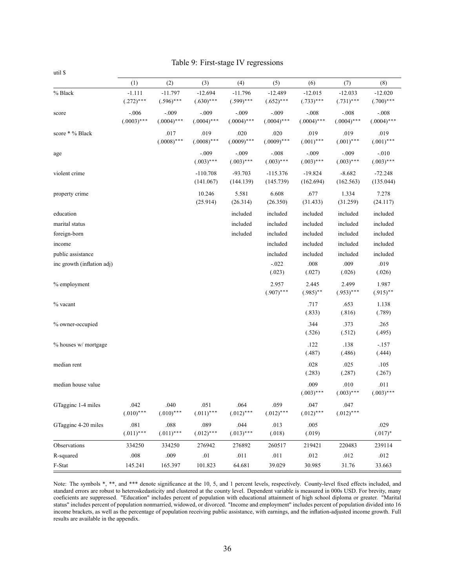|                            | (1)                      | (2)                       | (3)                       | (4)                       | (5)                       | (6)                      | (7)                       | (8)                       |
|----------------------------|--------------------------|---------------------------|---------------------------|---------------------------|---------------------------|--------------------------|---------------------------|---------------------------|
| % Black                    | $-1.111$<br>$(.272)$ *** | $-11.797$<br>$(.596)$ *** | $-12.694$<br>$(.630)$ *** | $-11.796$<br>$(.599)$ *** | $-12.489$<br>$(.652)$ *** | $-12.015$<br>$(.733)***$ | $-12.033$<br>$(.731)$ *** | $-12.020$<br>$(.700)$ *** |
| score                      | $-.006$<br>$(.0003)$ *** | $-.009$<br>$(.0004)$ ***  | $-.009$<br>$(.0004)$ ***  | $-.009$<br>$(.0004)$ ***  | $-.009$<br>$(.0004)$ ***  | $-.008$<br>$(.0004)$ *** | $-.008$<br>$(.0004)$ ***  | $-.008$<br>$(.0004)$ ***  |
| score * % Black            |                          | .017<br>$(.0008)$ ***     | .019<br>$(.0008)$ ***     | .020<br>$(.0009)$ ***     | .020<br>$(.0009)$ ***     | .019<br>$(.001)$ ***     | .019<br>$(.001)$ ***      | .019<br>$(.001)$ ***      |
| age                        |                          |                           | $-.009$<br>$(.003)$ ***   | $-.009$<br>$(.003)$ ***   | $-.008$<br>$(.003)$ ***   | $-.009$<br>$(.003)$ ***  | $-.009$<br>$(.003)$ ***   | $-.010$<br>$(.003)$ ***   |
| violent crime              |                          |                           | $-110.708$<br>(141.067)   | $-93.703$<br>(144.139)    | $-115.376$<br>(145.739)   | $-19.824$<br>(162.694)   | $-8.682$<br>(162.563)     | $-72.248$<br>(135.044)    |
| property crime             |                          |                           | 10.246<br>(25.914)        | 5.581<br>(26.314)         | 6.608<br>(26.350)         | .677<br>(31.433)         | 1.334<br>(31.259)         | 7.278<br>(24.117)         |
| education                  |                          |                           |                           | included                  | included                  | included                 | included                  | included                  |
| marital status             |                          |                           |                           | included                  | included                  | included                 | included                  | included                  |
| foreign-born               |                          |                           |                           | included                  | included                  | included                 | included                  | included                  |
| income                     |                          |                           |                           |                           | included                  | included                 | included                  | included                  |
| public assistance          |                          |                           |                           |                           | included                  | included                 | included                  | included                  |
| inc growth (inflation adj) |                          |                           |                           |                           | $-.022$<br>(.023)         | $.008$<br>(.027)         | .009<br>(.026)            | .019<br>(.026)            |
| % employment               |                          |                           |                           |                           | 2.957<br>$(.907)$ ***     | 2.445<br>$(.985)$ **     | 2.499<br>$(.953)$ ***     | 1.987<br>$(.915)$ **      |
| % vacant                   |                          |                           |                           |                           |                           | .717<br>(.833)           | .653<br>(.816)            | 1.138<br>(.789)           |
| % owner-occupied           |                          |                           |                           |                           |                           | .344<br>(.526)           | .373<br>(.512)            | .265<br>(.495)            |
| $\%$ houses w/ mortgage    |                          |                           |                           |                           |                           | .122<br>(.487)           | .138<br>(.486)            | $-.157$<br>(.444)         |
| median rent                |                          |                           |                           |                           |                           | .028<br>(.283)           | .025<br>(.287)            | .105<br>(.267)            |
| median house value         |                          |                           |                           |                           |                           | .009<br>$(.003)$ ***     | .010<br>$(.003)$ ***      | .011<br>$(.003)$ ***      |
| GTaggine 1-4 miles         | .042<br>$(.010)$ ***     | .040<br>$(.010)$ ***      | .051<br>$(.011)$ ***      | .064<br>$(.012)$ ***      | .059<br>$(.012)$ ***      | .047<br>$(.012)$ ***     | .047<br>$(.012)$ ***      |                           |
| GTagginc 4-20 miles        | .081<br>$(.011)$ ***     | .088<br>$(.011)$ ***      | .089<br>$(.012)$ ***      | .044<br>$(.013)***$       | .013<br>(.018)            | .005<br>(.019)           |                           | .029<br>$(.017)^*$        |
| Observations               | 334250                   | 334250                    | 276942                    | 276892                    | 260517                    | 219421                   | 220483                    | 239114                    |
| R-squared                  | $.008\,$                 | .009                      | $.01\,$                   | $.011\,$                  | $.011$                    | .012                     | .012                      | .012                      |
| F-Stat                     | 145.241                  | 165.397                   | 101.823                   | 64.681                    | 39.029                    | 30.985                   | 31.76                     | 33.663                    |

Note: The symbols \*, \*\*, and \*\*\* denote significance at the 10, 5, and 1 percent levels, respectively. County-level fixed effects included, and standard errors are robust to heteroskedasticity and clustered at the county level. Dependent variable is measured in 000s USD. For brevity, many coeficients are suppressed. "Education" includes percent of population with educational attainment of high school diploma or greater. "Marital status" includes percent of population nonmarried, widowed, or divorced. "Income and employment" includes percent of population divided into 16 income brackets, as well as the percentage of population receiving public assistance, with earnings, and the inflation-adjusted income growth. Full results are available in the appendix.

util \$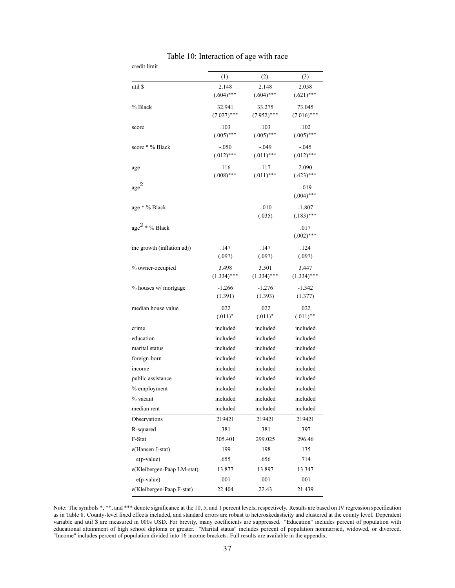| credit limit               |                         |                          |                          |  |  |  |
|----------------------------|-------------------------|--------------------------|--------------------------|--|--|--|
|                            | (1)                     | (2)                      | (3)                      |  |  |  |
| util \$                    | 2.148<br>$(.604)$ ***   | 2.148<br>$(.604)$ ***    | 2.058<br>$(.621)$ ***    |  |  |  |
| % Black                    | 32.941<br>$(7.027)$ *** | 33.275<br>$(7.952)$ ***  | 73.045<br>$(7.016)$ ***  |  |  |  |
| score                      | .103<br>$(.005)$ ***    | .103<br>$(.005)$ ***     | .102<br>$(.005)$ ***     |  |  |  |
| score * % Black            | $-.050$<br>$(.012)$ *** | $-0.049$<br>$(.011)$ *** | -.045<br>$(.012)$ ***    |  |  |  |
| age                        | .116<br>$(.008)$ ***    | .117<br>$(.011)$ ***     | 2.090<br>$(.423)$ ***    |  |  |  |
| age <sup>2</sup>           |                         |                          | -.019<br>$(.004)$ ***    |  |  |  |
| age * % Black              |                         | $-.010$<br>(.035)        | $-1.807$<br>$(.183)$ *** |  |  |  |
| age <sup>2</sup> * % Black |                         |                          | .017<br>$(.002)$ ***     |  |  |  |
| inc growth (inflation adj) | .147<br>(.097)          | .147<br>(.097)           | .124<br>(.097)           |  |  |  |
| % owner-occupied           | 3.498<br>$(1.334)$ ***  | 3.501<br>$(1.334)$ ***   | 3.447<br>$(1.334)$ ***   |  |  |  |
| % houses w/ mortgage       | $-1.266$<br>(1.391)     | $-1.276$<br>(1.393)      | $-1.342$<br>(1.377)      |  |  |  |
| median house value         | .022<br>$(.011)^*$      | .022<br>$(.011)^*$       | .022<br>$(.011)$ **      |  |  |  |
| crime                      | included                | included                 | included                 |  |  |  |
| education                  | included                | included                 | included                 |  |  |  |
| marital status             | included                | included                 | included                 |  |  |  |
| foreign-born               | included                | included                 | included                 |  |  |  |
| income                     | included                | included                 | included                 |  |  |  |
| public assistance          | included                | included                 | included                 |  |  |  |
| % employment               | included                | included                 | included                 |  |  |  |
| % vacant                   | included                | included                 | included                 |  |  |  |
| median rent                | included                | included                 | included                 |  |  |  |
| Observations               | 219421                  | 219421                   | 219421                   |  |  |  |
| R-squared                  | .381                    | .381                     | .397                     |  |  |  |
| F-Stat                     | 305.401                 | 299.025                  | 296.46                   |  |  |  |
| e(Hansen J-stat)           | .199                    | .198                     | .135                     |  |  |  |
| $e(p-value)$               | .655                    | .656                     | .714                     |  |  |  |
| e(Kleibergen-Paap LM-stat) | 13.877                  | 13.897                   | 13.347                   |  |  |  |
| $e(p-value)$               | .001                    | .001                     | .001                     |  |  |  |
| e(Kleibergen-Paap F-stat)  | 22.404                  | 22.43                    | 21.439                   |  |  |  |

| Table 10: Interaction of age with race |  |  |  |
|----------------------------------------|--|--|--|
|----------------------------------------|--|--|--|

Note: The symbols  $*, **$ , and  $***$  denote significance at the 10, 5, and 1 percent levels, respectively. Results are based on IV regression specification as in Table 8. County-level fixed effects included, and standard errors are robust to heteroskedasticity and clustered at the county level. Dependent variable and util \$ are measured in 000s USD. For brevity, many coefficients are suppressed. "Education" includes percent of population with educational attainment of high school diploma or greater. "Marital status" includes percent of population nonmarried, widowed, or divorced. "Income" includes percent of population divided into 16 income brackets. Full results are available in the appendix.